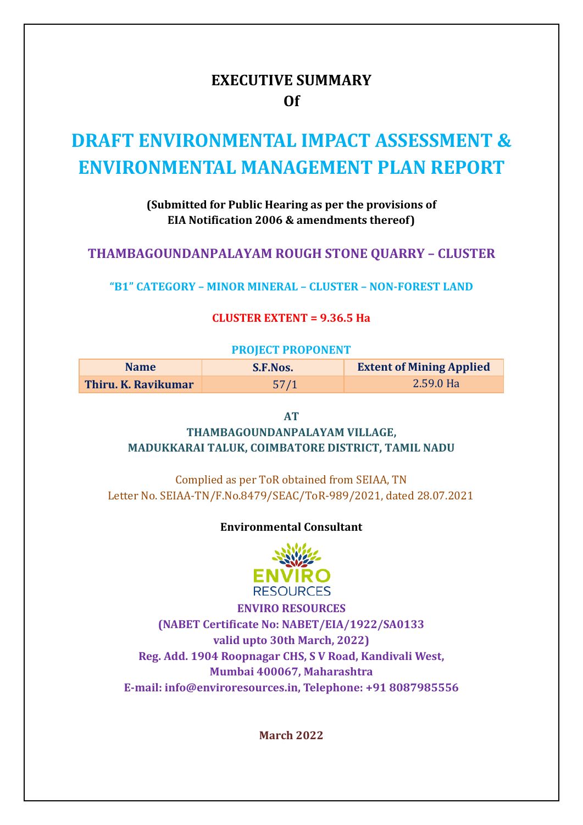# **EXECUTIVE SUMMARY Of**

# **DRAFT ENVIRONMENTAL IMPACT ASSESSMENT & ENVIRONMENTAL MANAGEMENT PLAN REPORT**

### **(Submitted for Public Hearing as per the provisions of EIA Notification 2006 & amendments thereof)**

# **THAMBAGOUNDANPALAYAM ROUGH STONE QUARRY – CLUSTER**

**"B1" CATEGORY – MINOR MINERAL – CLUSTER – NON-FOREST LAND** 

#### **CLUSTER EXTENT = 9.36.5 Ha**

#### **PROJECT PROPONENT**

| <b>Name</b>         | S.F.Nos. | <b>Extent of Mining Applied</b> |
|---------------------|----------|---------------------------------|
| Thiru. K. Ravikumar | 57/1     | 2.59.0 Ha                       |

**AT** 

# **THAMBAGOUNDANPALAYAM VILLAGE, MADUKKARAI TALUK, COIMBATORE DISTRICT, TAMIL NADU**

Complied as per ToR obtained from SEIAA, TN Letter No. SEIAA-TN/F.No.8479/SEAC/ToR-989/2021, dated 28.07.2021

#### **Environmental Consultant**



**ENVIRO RESOURCES (NABET Certificate No: NABET/EIA/1922/SA0133 valid upto 30th March, 2022) Reg. Add. 1904 Roopnagar CHS, S V Road, Kandivali West, Mumbai 400067, Maharashtra E-mail: info@enviroresources.in, Telephone: +91 8087985556**

**March 2022**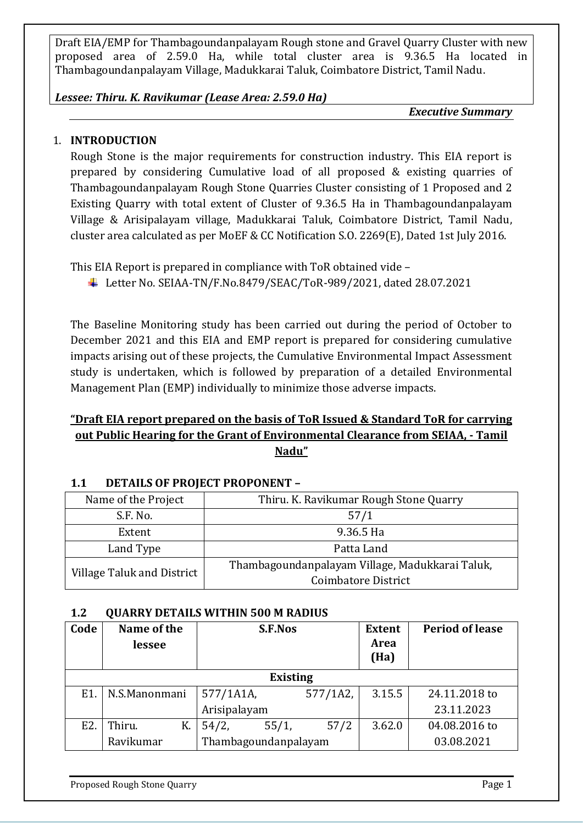#### *Lessee: Thiru. K. Ravikumar (Lease Area: 2.59.0 Ha)*

*Executive Summary*

# 1. **INTRODUCTION**

Rough Stone is the major requirements for construction industry. This EIA report is prepared by considering Cumulative load of all proposed & existing quarries of Thambagoundanpalayam Rough Stone Quarries Cluster consisting of 1 Proposed and 2 Existing Quarry with total extent of Cluster of 9.36.5 Ha in Thambagoundanpalayam Village & Arisipalayam village, Madukkarai Taluk, Coimbatore District, Tamil Nadu, cluster area calculated as per MoEF & CC Notification S.O. 2269(E), Dated 1st July 2016.

This EIA Report is prepared in compliance with ToR obtained vide –

Letter No. SEIAA-TN/F.No.8479/SEAC/ToR-989/2021, dated 28.07.2021

The Baseline Monitoring study has been carried out during the period of October to December 2021 and this EIA and EMP report is prepared for considering cumulative impacts arising out of these projects, the Cumulative Environmental Impact Assessment study is undertaken, which is followed by preparation of a detailed Environmental Management Plan (EMP) individually to minimize those adverse impacts.

# **"Draft EIA report prepared on the basis of ToR Issued & Standard ToR for carrying out Public Hearing for the Grant of Environmental Clearance from SEIAA, - Tamil Nadu"**

| Name of the Project        | Thiru. K. Ravikumar Rough Stone Quarry          |
|----------------------------|-------------------------------------------------|
| S.F. No.                   | 57/1                                            |
| Extent                     | 9.36.5 Ha                                       |
| Land Type<br>Patta Land    |                                                 |
| Village Taluk and District | Thambagoundanpalayam Village, Madukkarai Taluk, |
|                            | Coimbatore District                             |

#### **1.1 DETAILS OF PROJECT PROPONENT –**

#### **1.2 QUARRY DETAILS WITHIN 500 M RADIUS**

| Code | Name of the<br>lessee |                      | <b>S.F.Nos</b>  |          | <b>Extent</b><br><b>Area</b><br>(Ha) | <b>Period of lease</b> |
|------|-----------------------|----------------------|-----------------|----------|--------------------------------------|------------------------|
|      |                       |                      | <b>Existing</b> |          |                                      |                        |
| E1.  | N.S.Manonmani         | 577/1A1A,            |                 | 577/1A2, | 3.15.5                               | 24.11.2018 to          |
|      |                       | Arisipalayam         |                 |          |                                      | 23.11.2023             |
| E2.  | Thiru.<br>K.          | 54/2,                | 55/1,           | 57/2     | 3.62.0                               | 04.08.2016 to          |
|      | Ravikumar             | Thambagoundanpalayam |                 |          | 03.08.2021                           |                        |

Proposed Rough Stone Quarry **Page 1** and the proposed Rough Stone Quarry **Page 1**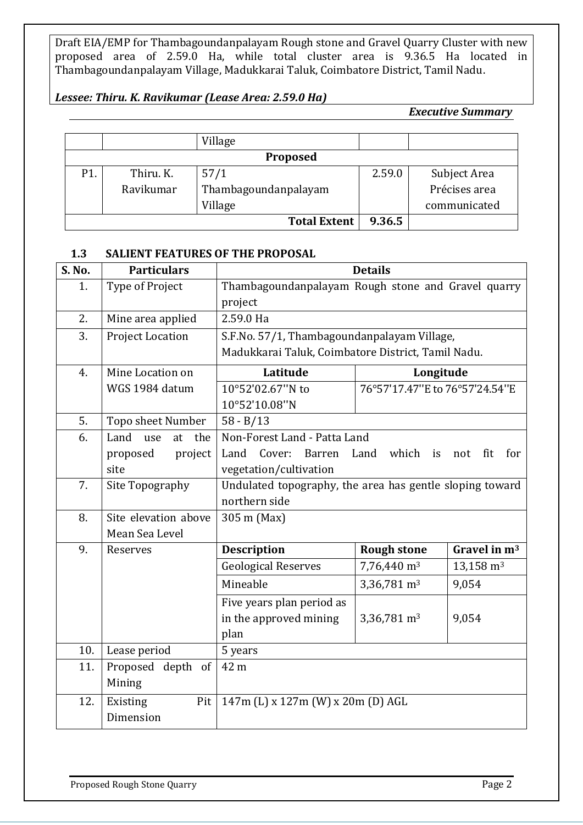#### *Lessee: Thiru. K. Ravikumar (Lease Area: 2.59.0 Ha)*

*Executive Summary*

|     |           | Village              |        |               |
|-----|-----------|----------------------|--------|---------------|
|     |           | <b>Proposed</b>      |        |               |
| P1. | Thiru. K. | 57/1                 | 2.59.0 | Subject Area  |
|     | Ravikumar | Thambagoundanpalayam |        | Précises area |
|     |           | Village              |        | communicated  |
|     |           | <b>Total Extent</b>  | 9.36.5 |               |

#### **1.3 SALIENT FEATURES OF THE PROPOSAL**

| <b>S. No.</b> | <b>Particulars</b>       |                                                               | <b>Details</b>                 |                      |
|---------------|--------------------------|---------------------------------------------------------------|--------------------------------|----------------------|
| 1.            | Type of Project          | Thambagoundanpalayam Rough stone and Gravel quarry<br>project |                                |                      |
| 2.            | Mine area applied        | 2.59.0 Ha                                                     |                                |                      |
| 3.            | Project Location         | S.F.No. 57/1, Thambagoundanpalayam Village,                   |                                |                      |
|               |                          | Madukkarai Taluk, Coimbatore District, Tamil Nadu.            |                                |                      |
| 4.            | Mine Location on         | Latitude                                                      | Longitude                      |                      |
|               | WGS 1984 datum           | 10°52'02.67"N to                                              | 76°57'17.47"E to 76°57'24.54"E |                      |
|               |                          | 10°52'10.08"N                                                 |                                |                      |
| 5.            | Topo sheet Number        | $58 - B/13$                                                   |                                |                      |
| 6.            | Land<br>the<br>use<br>at | Non-Forest Land - Patta Land                                  |                                |                      |
|               | proposed<br>project      | Land<br>Cover:<br>Barren                                      | Land which<br>is               | fit<br>for<br>not    |
|               | site                     | vegetation/cultivation                                        |                                |                      |
| 7.            | Site Topography          | Undulated topography, the area has gentle sloping toward      |                                |                      |
|               |                          | northern side                                                 |                                |                      |
| 8.            | Site elevation above     | 305 m (Max)                                                   |                                |                      |
|               | Mean Sea Level           |                                                               |                                |                      |
| 9.            | Reserves                 | <b>Description</b>                                            | <b>Rough stone</b>             | Gravel in $m3$       |
|               |                          | <b>Geological Reserves</b>                                    | 7,76,440 m <sup>3</sup>        | $13,158 \text{ m}^3$ |
|               |                          | Mineable                                                      | 3,36,781 m <sup>3</sup>        | 9,054                |
|               |                          | Five years plan period as                                     |                                |                      |
|               |                          | in the approved mining                                        | 3,36,781 m <sup>3</sup>        | 9,054                |
|               |                          | plan                                                          |                                |                      |
| 10.           | Lease period             | 5 years                                                       |                                |                      |
| 11.           | Proposed depth of        | 42 m                                                          |                                |                      |
|               | Mining                   |                                                               |                                |                      |
| 12.           | Existing<br>Pit          | 147m (L) x 127m (W) x 20m (D) AGL                             |                                |                      |
|               | Dimension                |                                                               |                                |                      |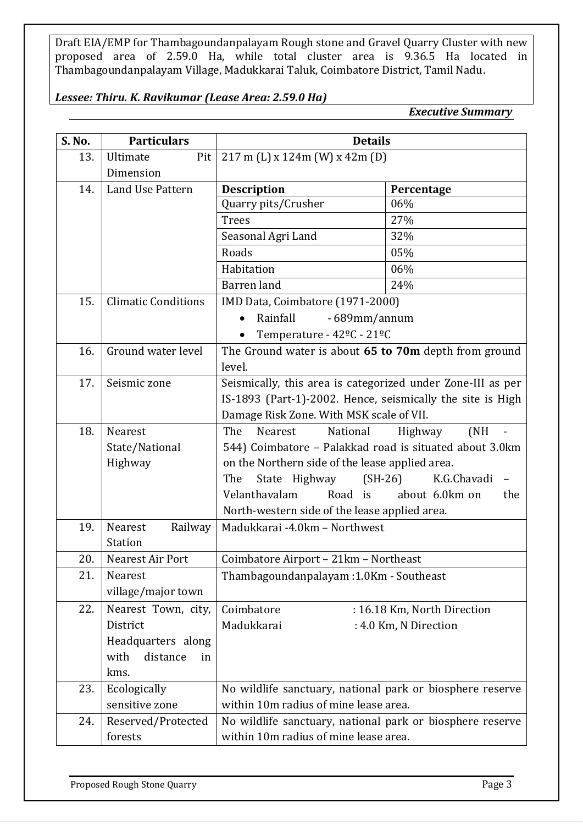#### *Lessee: Thiru. K. Ravikumar (Lease Area: 2.59.0 Ha)*

*Executive Summary*

| S. No. | <b>Particulars</b>         | <b>Details</b>                                              |                             |  |
|--------|----------------------------|-------------------------------------------------------------|-----------------------------|--|
| 13.    | Ultimate<br>Pit            | $217$ m (L) x $124$ m (W) x $42$ m (D)                      |                             |  |
|        | Dimension                  |                                                             |                             |  |
| 14.    | Land Use Pattern           | <b>Description</b>                                          | Percentage                  |  |
|        |                            | Quarry pits/Crusher                                         | 06%                         |  |
|        |                            | <b>Trees</b>                                                | 27%                         |  |
|        |                            | Seasonal Agri Land                                          | 32%                         |  |
|        |                            | Roads                                                       | 05%                         |  |
|        |                            | Habitation                                                  | 06%                         |  |
|        |                            | Barren land                                                 | 24%                         |  |
| 15.    | <b>Climatic Conditions</b> | IMD Data, Coimbatore (1971-2000)                            |                             |  |
|        |                            | Rainfall<br>- 689mm/annum                                   |                             |  |
|        |                            | Temperature - 42 <sup>o</sup> C - 21 <sup>o</sup> C         |                             |  |
| 16.    | Ground water level         | The Ground water is about 65 to 70m depth from ground       |                             |  |
|        |                            | level.                                                      |                             |  |
| 17.    | Seismic zone               | Seismically, this area is categorized under Zone-III as per |                             |  |
|        |                            | IS-1893 (Part-1)-2002. Hence, seismically the site is High  |                             |  |
|        |                            | Damage Risk Zone. With MSK scale of VII.                    |                             |  |
| 18.    | Nearest                    | The<br>Nearest<br>National                                  | Highway<br>(NH)             |  |
|        | State/National             | 544) Coimbatore - Palakkad road is situated about 3.0km     |                             |  |
|        | Highway                    | on the Northern side of the lease applied area.             |                             |  |
|        |                            | State Highway<br>$(SH-26)$<br>The                           | K.G.Chavadi                 |  |
|        |                            | Road is<br>Velanthavalam                                    | about 6.0km on<br>the       |  |
|        |                            | North-western side of the lease applied area.               |                             |  |
| 19.    | Nearest<br>Railway         | Madukkarai -4.0km - Northwest                               |                             |  |
|        | <b>Station</b>             |                                                             |                             |  |
| 20.    | Nearest Air Port           | Coimbatore Airport - 21km - Northeast                       |                             |  |
| 21.    | Nearest                    | Thambagoundanpalayam: 1.0Km - Southeast                     |                             |  |
|        | village/major town         |                                                             |                             |  |
| 22.    | Nearest Town, city,        | Coimbatore                                                  | : 16.18 Km, North Direction |  |
|        | District                   | Madukkarai                                                  | : 4.0 Km, N Direction       |  |
|        | Headquarters along         |                                                             |                             |  |
|        | distance<br>with<br>in     |                                                             |                             |  |
|        | kms.                       |                                                             |                             |  |
| 23.    | Ecologically               | No wildlife sanctuary, national park or biosphere reserve   |                             |  |
|        | sensitive zone             | within 10m radius of mine lease area.                       |                             |  |
| 24.    | Reserved/Protected         | No wildlife sanctuary, national park or biosphere reserve   |                             |  |
|        | forests                    | within 10m radius of mine lease area.                       |                             |  |
|        |                            |                                                             |                             |  |

Proposed Rough Stone Quarry **Proposed Rough Stone Quarry Page 3**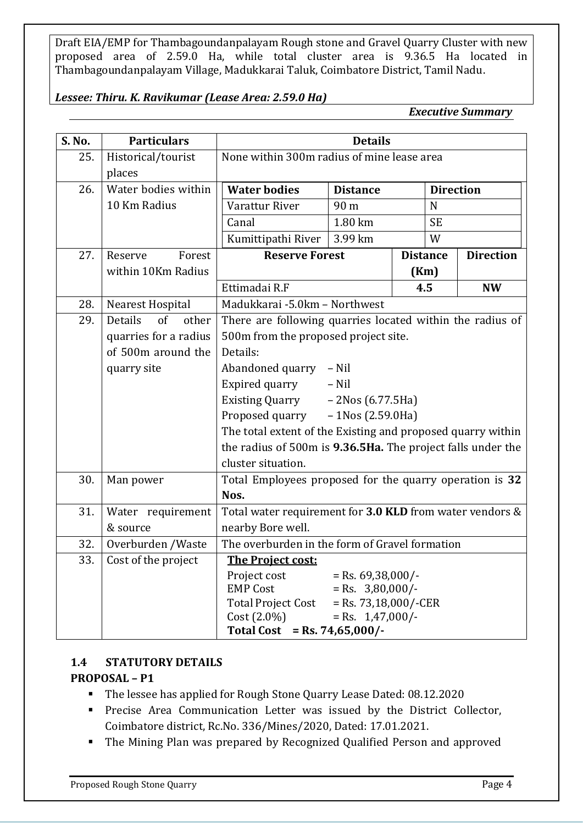#### *Lessee: Thiru. K. Ravikumar (Lease Area: 2.59.0 Ha)*

*Executive Summary*

| S. No. | <b>Particulars</b>     |                                                             | <b>Details</b>                            |                  |                  |
|--------|------------------------|-------------------------------------------------------------|-------------------------------------------|------------------|------------------|
| 25.    | Historical/tourist     | None within 300m radius of mine lease area                  |                                           |                  |                  |
|        | places                 |                                                             |                                           |                  |                  |
| 26.    | Water bodies within    | <b>Water bodies</b>                                         | <b>Distance</b>                           | <b>Direction</b> |                  |
|        | 10 Km Radius           | Varattur River                                              | 90 m                                      | N                |                  |
|        |                        | Canal                                                       | 1.80 km                                   | <b>SE</b>        |                  |
|        |                        | Kumittipathi River                                          | 3.99 km                                   | W                |                  |
| 27.    | Forest<br>Reserve      | <b>Reserve Forest</b>                                       |                                           | <b>Distance</b>  | <b>Direction</b> |
|        | within 10Km Radius     |                                                             |                                           | (Km)             |                  |
|        |                        | Ettimadai R.F                                               |                                           | 4.5              | <b>NW</b>        |
| 28.    | Nearest Hospital       | Madukkarai -5.0km - Northwest                               |                                           |                  |                  |
| 29.    | of<br>Details<br>other | There are following quarries located within the radius of   |                                           |                  |                  |
|        | quarries for a radius  | 500m from the proposed project site.                        |                                           |                  |                  |
|        | of 500m around the     | Details:                                                    |                                           |                  |                  |
|        | quarry site            | Abandoned quarry - Nil                                      |                                           |                  |                  |
|        |                        | Expired quarry                                              | $-$ Nil                                   |                  |                  |
|        |                        | <b>Existing Quarry</b>                                      | - 2Nos (6.77.5Ha)                         |                  |                  |
|        |                        | Proposed quarry                                             | $-1$ Nos (2.59.0Ha)                       |                  |                  |
|        |                        | The total extent of the Existing and proposed quarry within |                                           |                  |                  |
|        |                        | the radius of 500m is 9.36.5Ha. The project falls under the |                                           |                  |                  |
|        |                        | cluster situation.                                          |                                           |                  |                  |
| 30.    | Man power              | Total Employees proposed for the quarry operation is 32     |                                           |                  |                  |
|        |                        | Nos.                                                        |                                           |                  |                  |
| 31.    | Water requirement      | Total water requirement for 3.0 KLD from water vendors &    |                                           |                  |                  |
|        | & source               | nearby Bore well.                                           |                                           |                  |                  |
| 32.    | Overburden /Waste      | The overburden in the form of Gravel formation              |                                           |                  |                  |
| 33.    | Cost of the project    | The Project cost:                                           |                                           |                  |                  |
|        |                        | Project cost<br><b>EMP Cost</b>                             | $=$ Rs. 69,38,000/-<br>$=$ Rs. 3,80,000/- |                  |                  |
|        |                        | <b>Total Project Cost</b>                                   | $=$ Rs. 73,18,000/-CER                    |                  |                  |
|        |                        | $Cost (2.0\%)$                                              | $=$ Rs. 1,47,000/-                        |                  |                  |
|        |                        | Total Cost = Rs. $74,65,000/$ -                             |                                           |                  |                  |

#### **1.4 STATUTORY DETAILS**

#### **PROPOSAL – P1**

- The lessee has applied for Rough Stone Quarry Lease Dated: 08.12.2020
- Precise Area Communication Letter was issued by the District Collector, Coimbatore district, Rc.No. 336/Mines/2020, Dated: 17.01.2021.
- The Mining Plan was prepared by Recognized Qualified Person and approved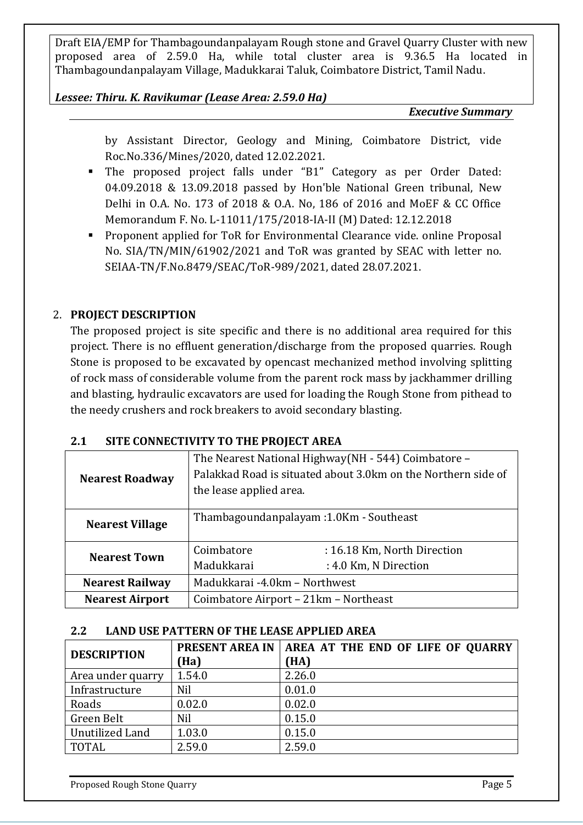*Lessee: Thiru. K. Ravikumar (Lease Area: 2.59.0 Ha)*

*Executive Summary*

by Assistant Director, Geology and Mining, Coimbatore District, vide Roc.No.336/Mines/2020, dated 12.02.2021.

- The proposed project falls under "B1" Category as per Order Dated: 04.09.2018 & 13.09.2018 passed by Hon'ble National Green tribunal, New Delhi in O.A. No. 173 of 2018 & O.A. No, 186 of 2016 and MoEF & CC Office Memorandum F. No. L-11011/175/2018-IA-II (M) Dated: 12.12.2018
- Proponent applied for ToR for Environmental Clearance vide. online Proposal No. SIA/TN/MIN/61902/2021 and ToR was granted by SEAC with letter no. SEIAA-TN/F.No.8479/SEAC/ToR-989/2021, dated 28.07.2021.

# 2. **PROJECT DESCRIPTION**

The proposed project is site specific and there is no additional area required for this project. There is no effluent generation/discharge from the proposed quarries. Rough Stone is proposed to be excavated by opencast mechanized method involving splitting of rock mass of considerable volume from the parent rock mass by jackhammer drilling and blasting, hydraulic excavators are used for loading the Rough Stone from pithead to the needy crushers and rock breakers to avoid secondary blasting.

|  | 2.1 | SITE CONNECTIVITY TO THE PROJECT AREA |  |
|--|-----|---------------------------------------|--|
|--|-----|---------------------------------------|--|

| <b>Nearest Roadway</b> | The Nearest National Highway (NH - 544) Coimbatore –<br>Palakkad Road is situated about 3.0km on the Northern side of<br>the lease applied area. |                             |
|------------------------|--------------------------------------------------------------------------------------------------------------------------------------------------|-----------------------------|
| <b>Nearest Village</b> | Thambagoundanpalayam : 1.0Km - Southeast                                                                                                         |                             |
| <b>Nearest Town</b>    | Coimbatore                                                                                                                                       | : 16.18 Km, North Direction |
|                        | Madukkarai                                                                                                                                       | : 4.0 Km, N Direction       |
| <b>Nearest Railway</b> | Madukkarai -4.0km - Northwest                                                                                                                    |                             |
| <b>Nearest Airport</b> | Coimbatore Airport – 21km – Northeast                                                                                                            |                             |

#### **2.2 LAND USE PATTERN OF THE LEASE APPLIED AREA**

| <b>DESCRIPTION</b> | <b>PRESENT AREA IN</b><br>(Ha) | AREA AT THE END OF LIFE OF QUARRY<br>(HA) |
|--------------------|--------------------------------|-------------------------------------------|
| Area under quarry  | 1.54.0                         | 2.26.0                                    |
| Infrastructure     | Nil                            | 0.01.0                                    |
| Roads              | 0.02.0                         | 0.02.0                                    |
| Green Belt         | Nil                            | 0.15.0                                    |
| Unutilized Land    | 1.03.0                         | 0.15.0                                    |
| <b>TOTAL</b>       | 2.59.0                         | 2.59.0                                    |

Proposed Rough Stone Quarry **Page 5** and the United States of Page 5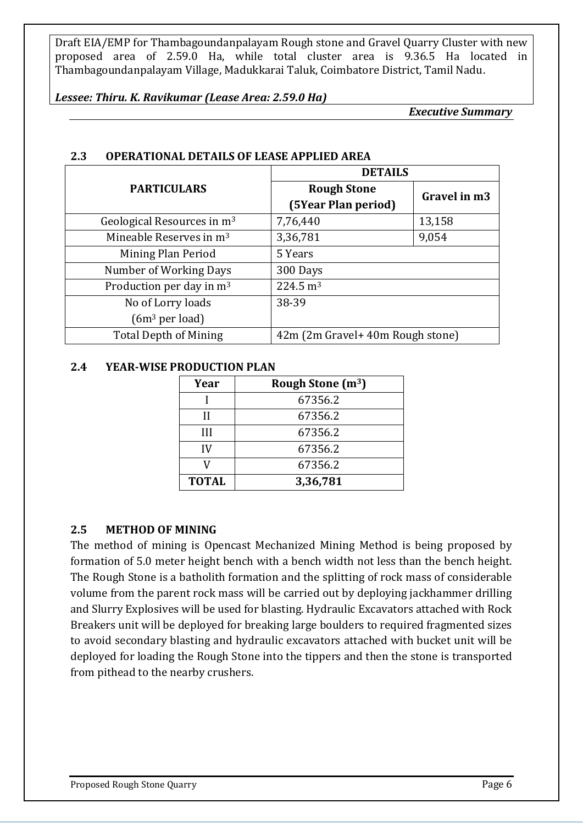#### *Lessee: Thiru. K. Ravikumar (Lease Area: 2.59.0 Ha)*

*Executive Summary*

|                                        | <b>DETAILS</b>                   |              |
|----------------------------------------|----------------------------------|--------------|
| <b>PARTICULARS</b>                     | <b>Rough Stone</b>               | Gravel in m3 |
|                                        | (5Year Plan period)              |              |
| Geological Resources in m <sup>3</sup> | 7,76,440                         | 13,158       |
| Mineable Reserves in $m3$              | 3,36,781                         | 9,054        |
| Mining Plan Period                     | 5 Years                          |              |
| Number of Working Days                 | 300 Days                         |              |
| Production per day in m <sup>3</sup>   | $224.5 \text{ m}^3$              |              |
| No of Lorry loads                      | 38-39                            |              |
| $(6m3$ per load)                       |                                  |              |
| <b>Total Depth of Mining</b>           | 42m (2m Gravel+ 40m Rough stone) |              |

#### **2.3 OPERATIONAL DETAILS OF LEASE APPLIED AREA**

#### **2.4 YEAR-WISE PRODUCTION PLAN**

| Year         | Rough Stone $(m^3)$ |
|--------------|---------------------|
|              | 67356.2             |
| Н            | 67356.2             |
| Ш            | 67356.2             |
| IV           | 67356.2             |
|              | 67356.2             |
| <b>TOTAL</b> | 3,36,781            |

#### **2.5 METHOD OF MINING**

The method of mining is Opencast Mechanized Mining Method is being proposed by formation of 5.0 meter height bench with a bench width not less than the bench height. The Rough Stone is a batholith formation and the splitting of rock mass of considerable volume from the parent rock mass will be carried out by deploying jackhammer drilling and Slurry Explosives will be used for blasting. Hydraulic Excavators attached with Rock Breakers unit will be deployed for breaking large boulders to required fragmented sizes to avoid secondary blasting and hydraulic excavators attached with bucket unit will be deployed for loading the Rough Stone into the tippers and then the stone is transported from pithead to the nearby crushers.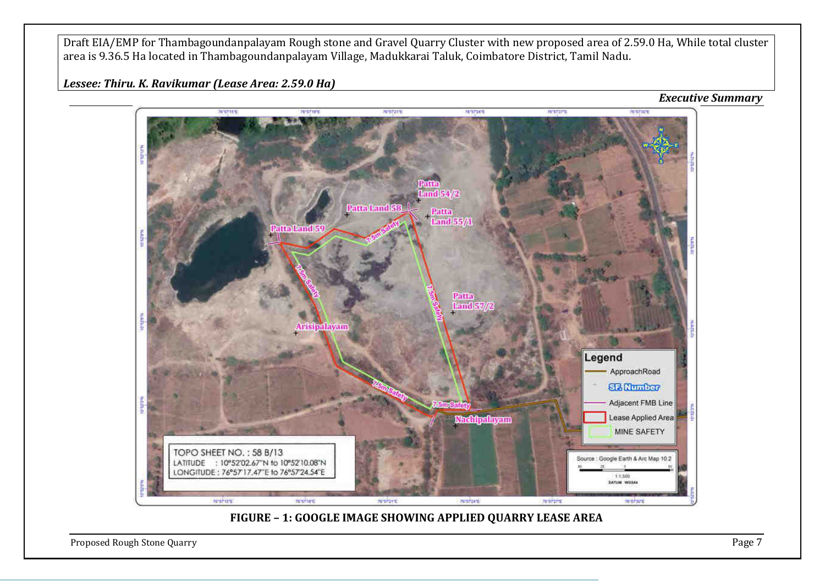*Lessee: Thiru. K. Ravikumar (Lease Area: 2.59.0 Ha)*



Proposed Rough Stone Quarry **Page 7**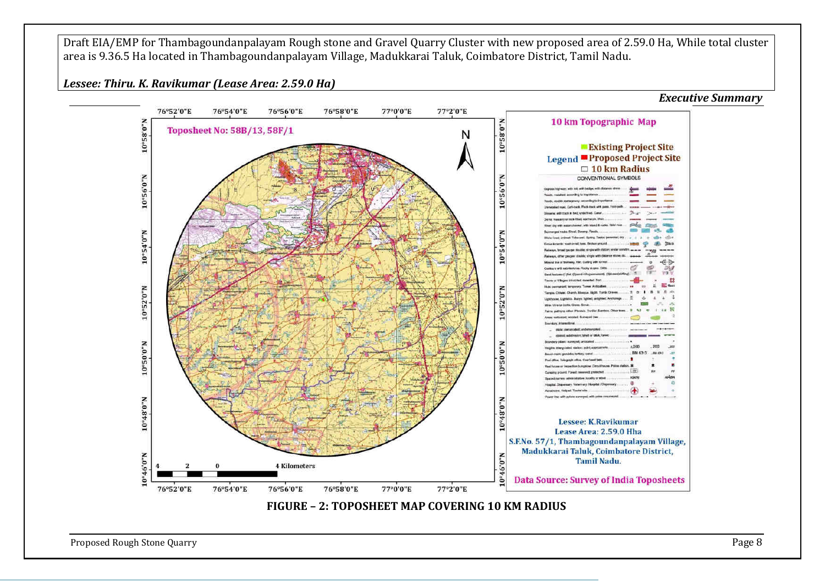*Lessee: Thiru. K. Ravikumar (Lease Area: 2.59.0 Ha)*



Proposed Rough Stone Quarry **Page 8**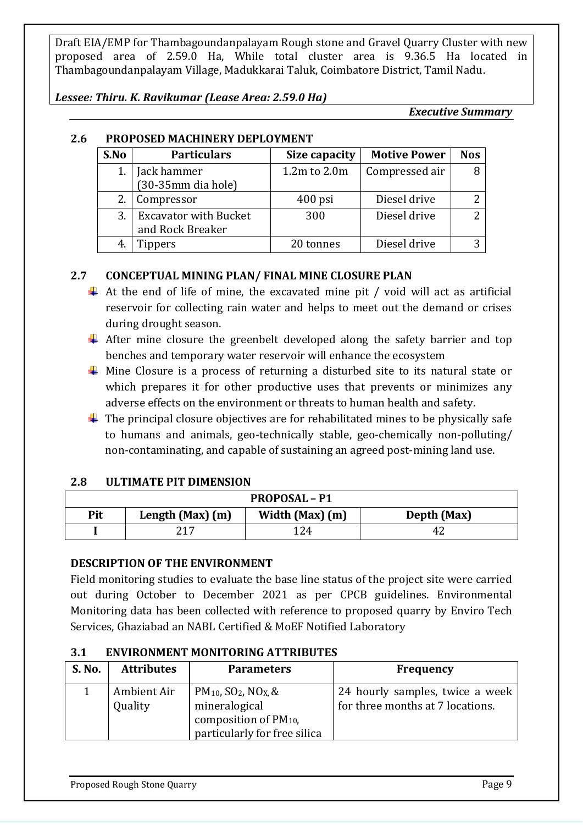*Lessee: Thiru. K. Ravikumar (Lease Area: 2.59.0 Ha)*

*Executive Summary*

| S.No | <b>Particulars</b>                               | Size capacity    | <b>Motive Power</b> | <b>Nos</b> |
|------|--------------------------------------------------|------------------|---------------------|------------|
| 1.   | Jack hammer<br>$(30-35)$ mm dia hole)            | $1.2m$ to $2.0m$ | Compressed air      |            |
|      | Compressor                                       | $400$ psi        | Diesel drive        |            |
| 3.   | <b>Excavator with Bucket</b><br>and Rock Breaker | 300              | Diesel drive        |            |
|      | Tippers                                          | 20 tonnes        | Diesel drive        |            |

# **2.6 PROPOSED MACHINERY DEPLOYMENT**

# **2.7 CONCEPTUAL MINING PLAN/ FINAL MINE CLOSURE PLAN**

- $\overline{\phantom{a}}$  At the end of life of mine, the excavated mine pit / void will act as artificial reservoir for collecting rain water and helps to meet out the demand or crises during drought season.
- $\overline{\text{+}}$  After mine closure the greenbelt developed along the safety barrier and top benches and temporary water reservoir will enhance the ecosystem
- $\overline{\text{L}}$  Mine Closure is a process of returning a disturbed site to its natural state or which prepares it for other productive uses that prevents or minimizes any adverse effects on the environment or threats to human health and safety.
- $\ddot{\phantom{1}}$  The principal closure objectives are for rehabilitated mines to be physically safe to humans and animals, geo-technically stable, geo-chemically non-polluting/ non-contaminating, and capable of sustaining an agreed post-mining land use.

#### **2.8 ULTIMATE PIT DIMENSION**

| <b>PROPOSAL - P1</b> |                                                    |     |    |  |  |  |  |
|----------------------|----------------------------------------------------|-----|----|--|--|--|--|
| Pit                  | Width (Max) (m)<br>Length (Max) (m)<br>Depth (Max) |     |    |  |  |  |  |
|                      | 217                                                | 124 | 42 |  |  |  |  |

#### **DESCRIPTION OF THE ENVIRONMENT**

Field monitoring studies to evaluate the base line status of the project site were carried out during October to December 2021 as per CPCB guidelines. Environmental Monitoring data has been collected with reference to proposed quarry by Enviro Tech Services, Ghaziabad an NABL Certified & MoEF Notified Laboratory

#### **3.1 ENVIRONMENT MONITORING ATTRIBUTES**

| <b>S. No.</b> | <b>Attributes</b>      | <b>Parameters</b>                                                                                                                | <b>Frequency</b>                                                    |
|---------------|------------------------|----------------------------------------------------------------------------------------------------------------------------------|---------------------------------------------------------------------|
|               | Ambient Air<br>Quality | $PM_{10}$ , SO <sub>2</sub> , NO <sub>X</sub> , &<br>mineralogical<br>composition of $PM_{10}$ ,<br>particularly for free silica | 24 hourly samples, twice a week<br>for three months at 7 locations. |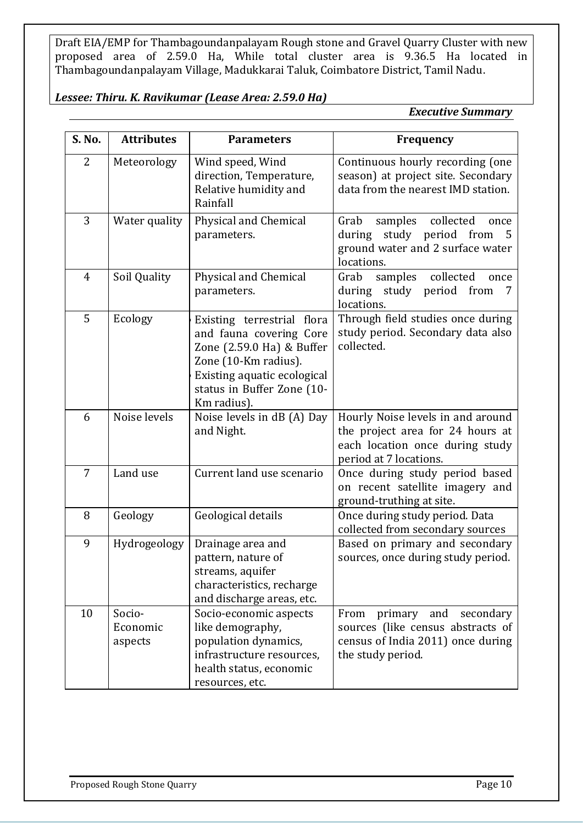#### *Lessee: Thiru. K. Ravikumar (Lease Area: 2.59.0 Ha)*

*Executive Summary*

| S. No.         | <b>Attributes</b>             | <b>Parameters</b>                                                                                                                                                                      | <b>Frequency</b>                                                                                                                   |
|----------------|-------------------------------|----------------------------------------------------------------------------------------------------------------------------------------------------------------------------------------|------------------------------------------------------------------------------------------------------------------------------------|
| 2              | Meteorology                   | Wind speed, Wind<br>direction, Temperature,<br>Relative humidity and<br>Rainfall                                                                                                       | Continuous hourly recording (one<br>season) at project site. Secondary<br>data from the nearest IMD station.                       |
| 3              | Water quality                 | Physical and Chemical<br>parameters.                                                                                                                                                   | collected<br>samples<br>Grab<br>once<br>study period from<br>during<br>5<br>ground water and 2 surface water<br>locations.         |
| $\overline{4}$ | Soil Quality                  | Physical and Chemical<br>parameters.                                                                                                                                                   | collected<br>samples<br>Grab<br>once<br>study period<br>during<br>from<br>7<br>locations.                                          |
| 5              | Ecology                       | Existing terrestrial flora<br>and fauna covering Core<br>Zone (2.59.0 Ha) & Buffer<br>Zone (10-Km radius).<br>Existing aquatic ecological<br>status in Buffer Zone (10-<br>Km radius). | Through field studies once during<br>study period. Secondary data also<br>collected.                                               |
| 6              | Noise levels                  | Noise levels in dB (A) Day<br>and Night.                                                                                                                                               | Hourly Noise levels in and around<br>the project area for 24 hours at<br>each location once during study<br>period at 7 locations. |
| $\overline{7}$ | Land use                      | Current land use scenario                                                                                                                                                              | Once during study period based<br>on recent satellite imagery and<br>ground-truthing at site.                                      |
| 8              | Geology                       | Geological details                                                                                                                                                                     | Once during study period. Data<br>collected from secondary sources                                                                 |
| 9              | Hydrogeology                  | Drainage area and<br>pattern, nature of<br>streams, aquifer<br>characteristics, recharge<br>and discharge areas, etc.                                                                  | Based on primary and secondary<br>sources, once during study period.                                                               |
| 10             | Socio-<br>Economic<br>aspects | Socio-economic aspects<br>like demography,<br>population dynamics,<br>infrastructure resources,<br>health status, economic<br>resources, etc.                                          | primary and<br>secondary<br>From<br>sources (like census abstracts of<br>census of India 2011) once during<br>the study period.    |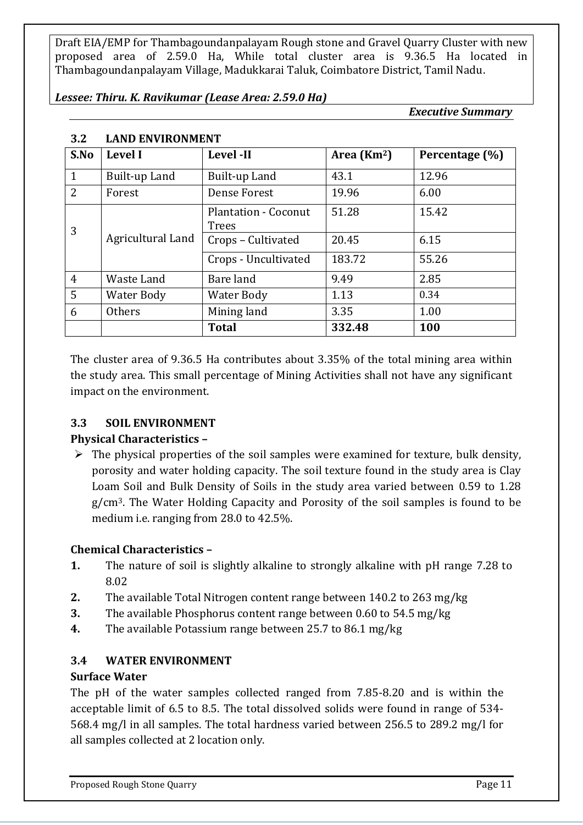*Lessee: Thiru. K. Ravikumar (Lease Area: 2.59.0 Ha)*

*Executive Summary*

| S.No           | <b>Level I</b>    | Level -II                                   | Area $(Km2)$ | Percentage (%) |
|----------------|-------------------|---------------------------------------------|--------------|----------------|
| $\mathbf{1}$   | Built-up Land     | Built-up Land                               | 43.1         | 12.96          |
| $\overline{2}$ | Forest            | Dense Forest                                | 19.96        | 6.00           |
| 3              |                   | <b>Plantation - Coconut</b><br><b>Trees</b> | 51.28        | 15.42          |
|                | Agricultural Land | Crops - Cultivated                          | 20.45        | 6.15           |
|                |                   | Crops - Uncultivated                        | 183.72       | 55.26          |
| $\overline{4}$ | Waste Land        | Bare land                                   | 9.49         | 2.85           |
| 5              | Water Body        | Water Body                                  | 1.13         | 0.34           |
| 6              | Others            | Mining land                                 | 3.35         | 1.00           |
|                |                   | <b>Total</b>                                | 332.48       | 100            |

#### **3.2 LAND ENVIRONMENT**

The cluster area of 9.36.5 Ha contributes about 3.35% of the total mining area within the study area. This small percentage of Mining Activities shall not have any significant impact on the environment.

#### **3.3 SOIL ENVIRONMENT**

#### **Physical Characteristics –**

 $\triangleright$  The physical properties of the soil samples were examined for texture, bulk density, porosity and water holding capacity. The soil texture found in the study area is Clay Loam Soil and Bulk Density of Soils in the study area varied between 0.59 to 1.28 g/cm3. The Water Holding Capacity and Porosity of the soil samples is found to be medium i.e. ranging from 28.0 to 42.5%.

#### **Chemical Characteristics –**

- **1.** The nature of soil is slightly alkaline to strongly alkaline with pH range 7.28 to 8.02
- **2.** The available Total Nitrogen content range between 140.2 to 263 mg/kg
- **3.** The available Phosphorus content range between 0.60 to 54.5 mg/kg
- **4.** The available Potassium range between 25.7 to 86.1 mg/kg

#### **3.4 WATER ENVIRONMENT**

#### **Surface Water**

The pH of the water samples collected ranged from 7.85-8.20 and is within the acceptable limit of 6.5 to 8.5. The total dissolved solids were found in range of 534- 568.4 mg/l in all samples. The total hardness varied between 256.5 to 289.2 mg/l for all samples collected at 2 location only.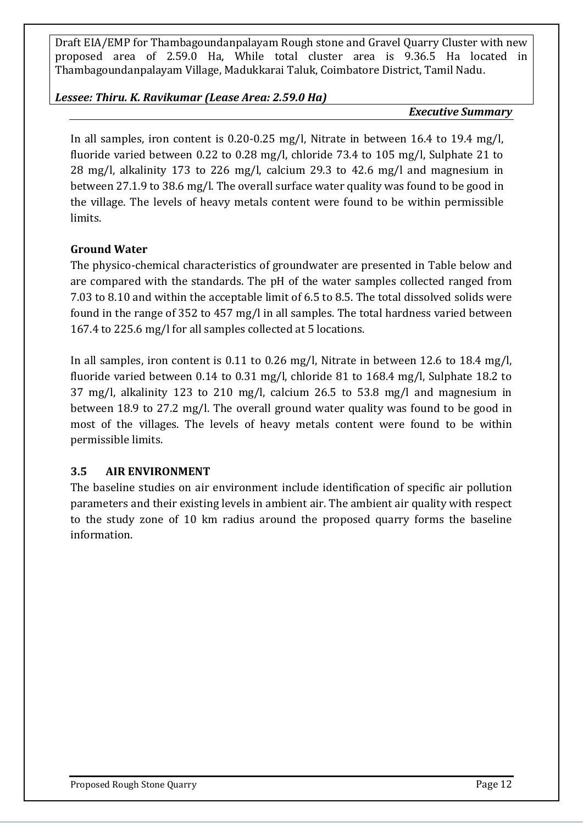#### *Lessee: Thiru. K. Ravikumar (Lease Area: 2.59.0 Ha)*

#### *Executive Summary*

In all samples, iron content is 0.20-0.25 mg/l, Nitrate in between 16.4 to 19.4 mg/l, fluoride varied between 0.22 to 0.28 mg/l, chloride 73.4 to 105 mg/l, Sulphate 21 to 28 mg/l, alkalinity 173 to 226 mg/l, calcium 29.3 to 42.6 mg/l and magnesium in between 27.1.9 to 38.6 mg/l. The overall surface water quality was found to be good in the village. The levels of heavy metals content were found to be within permissible limits.

#### **Ground Water**

The physico-chemical characteristics of groundwater are presented in Table below and are compared with the standards. The pH of the water samples collected ranged from 7.03 to 8.10 and within the acceptable limit of 6.5 to 8.5. The total dissolved solids were found in the range of 352 to 457 mg/l in all samples. The total hardness varied between 167.4 to 225.6 mg/l for all samples collected at 5 locations.

In all samples, iron content is 0.11 to 0.26 mg/l, Nitrate in between 12.6 to 18.4 mg/l, fluoride varied between 0.14 to 0.31 mg/l, chloride 81 to 168.4 mg/l, Sulphate 18.2 to 37 mg/l, alkalinity 123 to 210 mg/l, calcium 26.5 to 53.8 mg/l and magnesium in between 18.9 to 27.2 mg/l. The overall ground water quality was found to be good in most of the villages. The levels of heavy metals content were found to be within permissible limits.

#### **3.5 AIR ENVIRONMENT**

The baseline studies on air environment include identification of specific air pollution parameters and their existing levels in ambient air. The ambient air quality with respect to the study zone of 10 km radius around the proposed quarry forms the baseline information.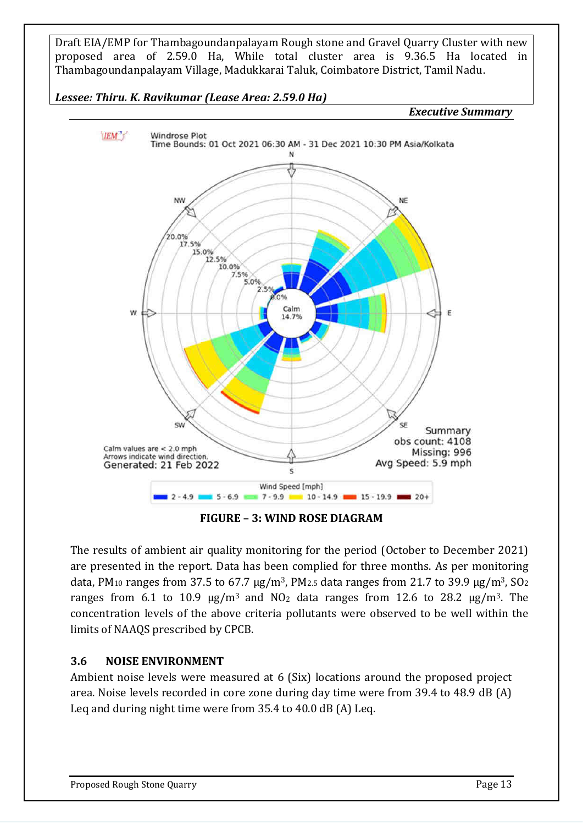*Lessee: Thiru. K. Ravikumar (Lease Area: 2.59.0 Ha)*

*Executive Summary*



**FIGURE – 3: WIND ROSE DIAGRAM**

The results of ambient air quality monitoring for the period (October to December 2021) are presented in the report. Data has been complied for three months. As per monitoring data, PM<sub>10</sub> ranges from 37.5 to 67.7  $\mu$ g/m<sup>3</sup>, PM<sub>2.5</sub> data ranges from 21.7 to 39.9  $\mu$ g/m<sup>3</sup>, SO<sub>2</sub> ranges from 6.1 to 10.9  $\mu$ g/m<sup>3</sup> and NO<sub>2</sub> data ranges from 12.6 to 28.2  $\mu$ g/m<sup>3</sup>. The concentration levels of the above criteria pollutants were observed to be well within the limits of NAAQS prescribed by CPCB.

#### **3.6 NOISE ENVIRONMENT**

Ambient noise levels were measured at 6 (Six) locations around the proposed project area. Noise levels recorded in core zone during day time were from 39.4 to 48.9 dB (A) Leq and during night time were from 35.4 to 40.0 dB (A) Leq.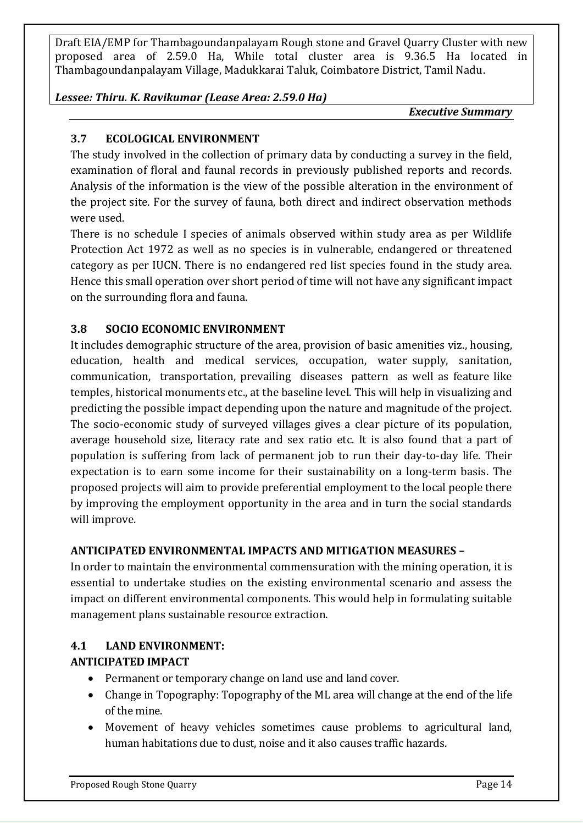#### *Lessee: Thiru. K. Ravikumar (Lease Area: 2.59.0 Ha)*

*Executive Summary*

# **3.7 ECOLOGICAL ENVIRONMENT**

The study involved in the collection of primary data by conducting a survey in the field, examination of floral and faunal records in previously published reports and records. Analysis of the information is the view of the possible alteration in the environment of the project site. For the survey of fauna, both direct and indirect observation methods were used.

There is no schedule I species of animals observed within study area as per Wildlife Protection Act 1972 as well as no species is in vulnerable, endangered or threatened category as per IUCN. There is no endangered red list species found in the study area. Hence this small operation over short period of time will not have any significant impact on the surrounding flora and fauna.

# **3.8 SOCIO ECONOMIC ENVIRONMENT**

It includes demographic structure of the area, provision of basic amenities viz., housing, education, health and medical services, occupation, water supply, sanitation, communication, transportation, prevailing diseases pattern as well as feature like temples, historical monuments etc., at the baseline level. This will help in visualizing and predicting the possible impact depending upon the nature and magnitude of the project. The socio-economic study of surveyed villages gives a clear picture of its population, average household size, literacy rate and sex ratio etc. It is also found that a part of population is suffering from lack of permanent job to run their day-to-day life. Their expectation is to earn some income for their sustainability on a long-term basis. The proposed projects will aim to provide preferential employment to the local people there by improving the employment opportunity in the area and in turn the social standards will improve.

#### **ANTICIPATED ENVIRONMENTAL IMPACTS AND MITIGATION MEASURES –**

In order to maintain the environmental commensuration with the mining operation, it is essential to undertake studies on the existing environmental scenario and assess the impact on different environmental components. This would help in formulating suitable management plans sustainable resource extraction.

#### **4.1 LAND ENVIRONMENT:**

#### **ANTICIPATED IMPACT**

- Permanent or temporary change on land use and land cover.
- Change in Topography: Topography of the ML area will change at the end of the life of the mine.
- Movement of heavy vehicles sometimes cause problems to agricultural land, human habitations due to dust, noise and it also causes traffic hazards.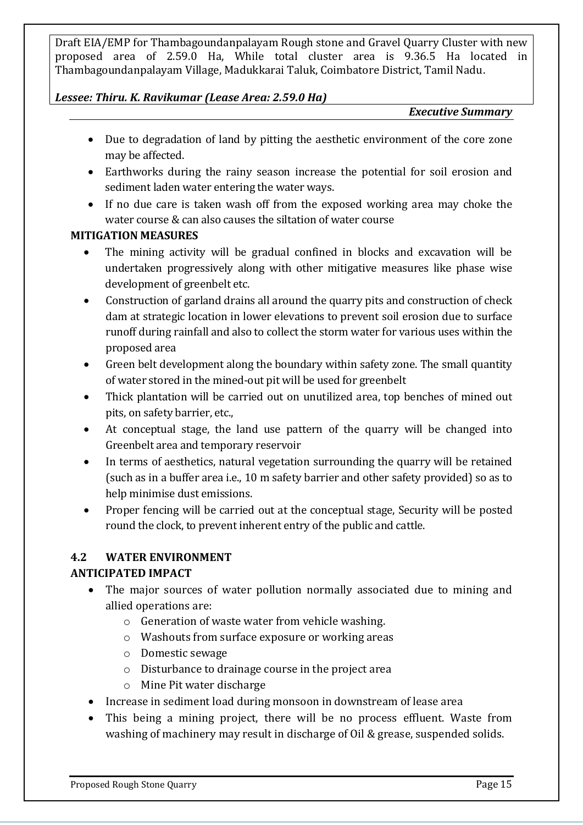#### *Lessee: Thiru. K. Ravikumar (Lease Area: 2.59.0 Ha)*

*Executive Summary*

- Due to degradation of land by pitting the aesthetic environment of the core zone may be affected.
- Earthworks during the rainy season increase the potential for soil erosion and sediment laden water entering the water ways.
- If no due care is taken wash off from the exposed working area may choke the water course & can also causes the siltation of water course

#### **MITIGATION MEASURES**

- The mining activity will be gradual confined in blocks and excavation will be undertaken progressively along with other mitigative measures like phase wise development of greenbelt etc.
- Construction of garland drains all around the quarry pits and construction of check dam at strategic location in lower elevations to prevent soil erosion due to surface runoff during rainfall and also to collect the storm water for various uses within the proposed area
- Green belt development along the boundary within safety zone. The small quantity of water stored in the mined-out pit will be used for greenbelt
- Thick plantation will be carried out on unutilized area, top benches of mined out pits, on safety barrier, etc.,
- At conceptual stage, the land use pattern of the quarry will be changed into Greenbelt area and temporary reservoir
- In terms of aesthetics, natural vegetation surrounding the quarry will be retained (such as in a buffer area i.e., 10 m safety barrier and other safety provided) so as to help minimise dust emissions.
- Proper fencing will be carried out at the conceptual stage, Security will be posted round the clock, to prevent inherent entry of the public and cattle.

# **4.2 WATER ENVIRONMENT**

#### **ANTICIPATED IMPACT**

- The major sources of water pollution normally associated due to mining and allied operations are:
	- o Generation of waste water from vehicle washing.
	- o Washouts from surface exposure or working areas
	- o Domestic sewage
	- o Disturbance to drainage course in the project area
	- o Mine Pit water discharge
- Increase in sediment load during monsoon in downstream of lease area
- This being a mining project, there will be no process effluent. Waste from washing of machinery may result in discharge of Oil & grease, suspended solids.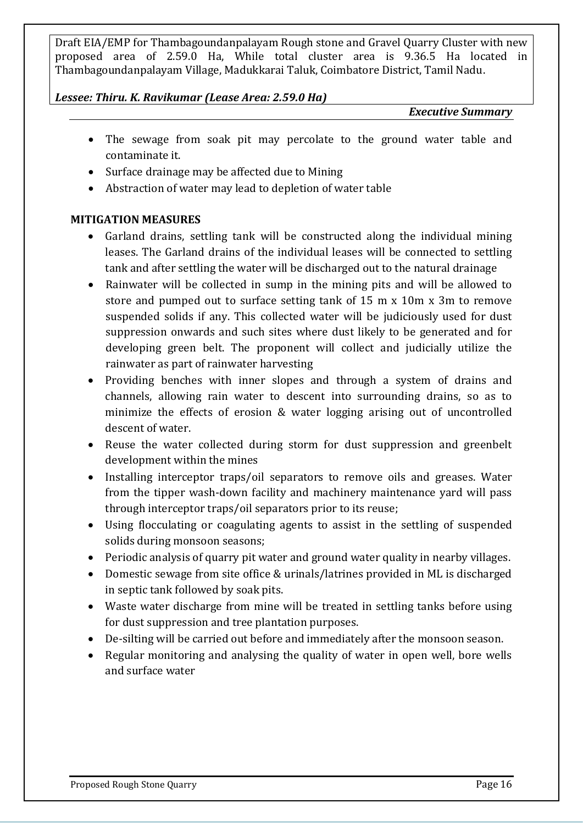#### *Lessee: Thiru. K. Ravikumar (Lease Area: 2.59.0 Ha)*

*Executive Summary*

- The sewage from soak pit may percolate to the ground water table and contaminate it.
- Surface drainage may be affected due to Mining
- Abstraction of water may lead to depletion of water table

#### **MITIGATION MEASURES**

- Garland drains, settling tank will be constructed along the individual mining leases. The Garland drains of the individual leases will be connected to settling tank and after settling the water will be discharged out to the natural drainage
- Rainwater will be collected in sump in the mining pits and will be allowed to store and pumped out to surface setting tank of 15 m x 10m x 3m to remove suspended solids if any. This collected water will be judiciously used for dust suppression onwards and such sites where dust likely to be generated and for developing green belt. The proponent will collect and judicially utilize the rainwater as part of rainwater harvesting
- Providing benches with inner slopes and through a system of drains and channels, allowing rain water to descent into surrounding drains, so as to minimize the effects of erosion & water logging arising out of uncontrolled descent of water.
- Reuse the water collected during storm for dust suppression and greenbelt development within the mines
- Installing interceptor traps/oil separators to remove oils and greases. Water from the tipper wash-down facility and machinery maintenance yard will pass through interceptor traps/oil separators prior to its reuse;
- Using flocculating or coagulating agents to assist in the settling of suspended solids during monsoon seasons;
- Periodic analysis of quarry pit water and ground water quality in nearby villages.
- Domestic sewage from site office & urinals/latrines provided in ML is discharged in septic tank followed by soak pits.
- Waste water discharge from mine will be treated in settling tanks before using for dust suppression and tree plantation purposes.
- De-silting will be carried out before and immediately after the monsoon season.
- Regular monitoring and analysing the quality of water in open well, bore wells and surface water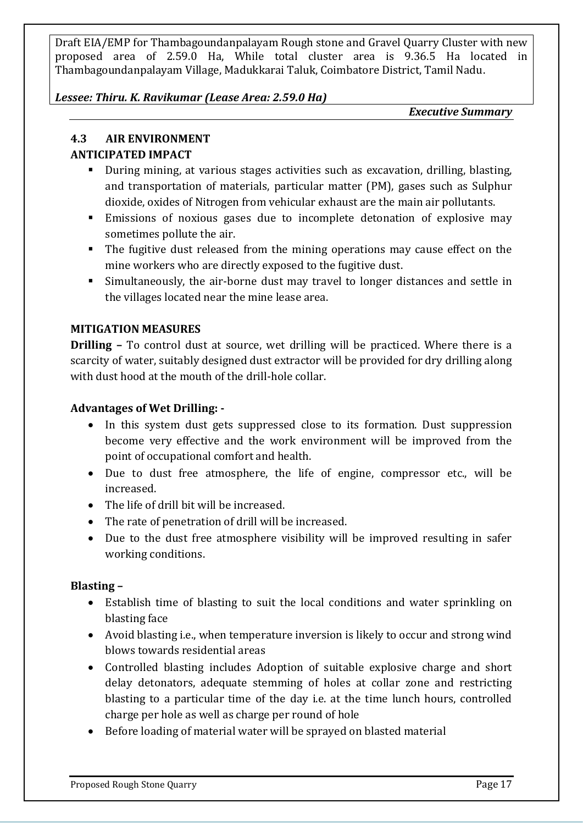#### *Lessee: Thiru. K. Ravikumar (Lease Area: 2.59.0 Ha)*

*Executive Summary*

# **4.3 AIR ENVIRONMENT**

# **ANTICIPATED IMPACT**

- During mining, at various stages activities such as excavation, drilling, blasting, and transportation of materials, particular matter (PM), gases such as Sulphur dioxide, oxides of Nitrogen from vehicular exhaust are the main air pollutants.
- Emissions of noxious gases due to incomplete detonation of explosive may sometimes pollute the air.
- The fugitive dust released from the mining operations may cause effect on the mine workers who are directly exposed to the fugitive dust.
- Simultaneously, the air-borne dust may travel to longer distances and settle in the villages located near the mine lease area.

# **MITIGATION MEASURES**

**Drilling –** To control dust at source, wet drilling will be practiced. Where there is a scarcity of water, suitably designed dust extractor will be provided for dry drilling along with dust hood at the mouth of the drill-hole collar.

# **Advantages of Wet Drilling: -**

- In this system dust gets suppressed close to its formation. Dust suppression become very effective and the work environment will be improved from the point of occupational comfort and health.
- Due to dust free atmosphere, the life of engine, compressor etc., will be increased.
- The life of drill bit will be increased.
- The rate of penetration of drill will be increased.
- Due to the dust free atmosphere visibility will be improved resulting in safer working conditions.

#### **Blasting –**

- Establish time of blasting to suit the local conditions and water sprinkling on blasting face
- Avoid blasting i.e., when temperature inversion is likely to occur and strong wind blows towards residential areas
- Controlled blasting includes Adoption of suitable explosive charge and short delay detonators, adequate stemming of holes at collar zone and restricting blasting to a particular time of the day i.e. at the time lunch hours, controlled charge per hole as well as charge per round of hole
- Before loading of material water will be sprayed on blasted material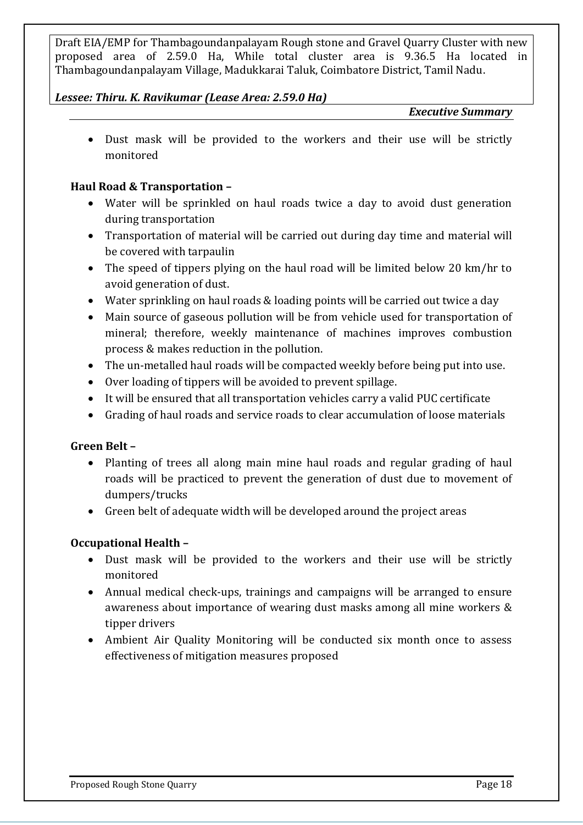#### *Lessee: Thiru. K. Ravikumar (Lease Area: 2.59.0 Ha)*

#### *Executive Summary*

• Dust mask will be provided to the workers and their use will be strictly monitored

#### **Haul Road & Transportation –**

- Water will be sprinkled on haul roads twice a day to avoid dust generation during transportation
- Transportation of material will be carried out during day time and material will be covered with tarpaulin
- The speed of tippers plying on the haul road will be limited below 20 km/hr to avoid generation of dust.
- Water sprinkling on haul roads & loading points will be carried out twice a day
- Main source of gaseous pollution will be from vehicle used for transportation of mineral; therefore, weekly maintenance of machines improves combustion process & makes reduction in the pollution.
- The un-metalled haul roads will be compacted weekly before being put into use.
- Over loading of tippers will be avoided to prevent spillage.
- It will be ensured that all transportation vehicles carry a valid PUC certificate
- Grading of haul roads and service roads to clear accumulation of loose materials

#### **Green Belt –**

- Planting of trees all along main mine haul roads and regular grading of haul roads will be practiced to prevent the generation of dust due to movement of dumpers/trucks
- Green belt of adequate width will be developed around the project areas

#### **Occupational Health –**

- Dust mask will be provided to the workers and their use will be strictly monitored
- Annual medical check-ups, trainings and campaigns will be arranged to ensure awareness about importance of wearing dust masks among all mine workers & tipper drivers
- Ambient Air Quality Monitoring will be conducted six month once to assess effectiveness of mitigation measures proposed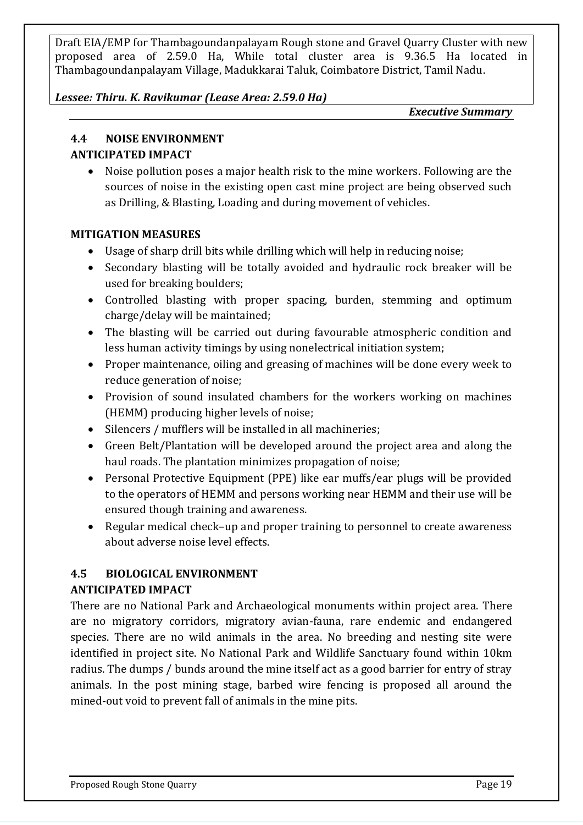#### *Lessee: Thiru. K. Ravikumar (Lease Area: 2.59.0 Ha)*

*Executive Summary*

# **4.4 NOISE ENVIRONMENT**

#### **ANTICIPATED IMPACT**

• Noise pollution poses a major health risk to the mine workers. Following are the sources of noise in the existing open cast mine project are being observed such as Drilling, & Blasting, Loading and during movement of vehicles.

#### **MITIGATION MEASURES**

- Usage of sharp drill bits while drilling which will help in reducing noise;
- Secondary blasting will be totally avoided and hydraulic rock breaker will be used for breaking boulders;
- Controlled blasting with proper spacing, burden, stemming and optimum charge/delay will be maintained;
- The blasting will be carried out during favourable atmospheric condition and less human activity timings by using nonelectrical initiation system;
- Proper maintenance, oiling and greasing of machines will be done every week to reduce generation of noise;
- Provision of sound insulated chambers for the workers working on machines (HEMM) producing higher levels of noise;
- Silencers / mufflers will be installed in all machineries;
- Green Belt/Plantation will be developed around the project area and along the haul roads. The plantation minimizes propagation of noise;
- Personal Protective Equipment (PPE) like ear muffs/ear plugs will be provided to the operators of HEMM and persons working near HEMM and their use will be ensured though training and awareness.
- Regular medical check–up and proper training to personnel to create awareness about adverse noise level effects.

# **4.5 BIOLOGICAL ENVIRONMENT ANTICIPATED IMPACT**

There are no National Park and Archaeological monuments within project area. There are no migratory corridors, migratory avian-fauna, rare endemic and endangered species. There are no wild animals in the area. No breeding and nesting site were identified in project site. No National Park and Wildlife Sanctuary found within 10km radius. The dumps / bunds around the mine itself act as a good barrier for entry of stray animals. In the post mining stage, barbed wire fencing is proposed all around the mined-out void to prevent fall of animals in the mine pits.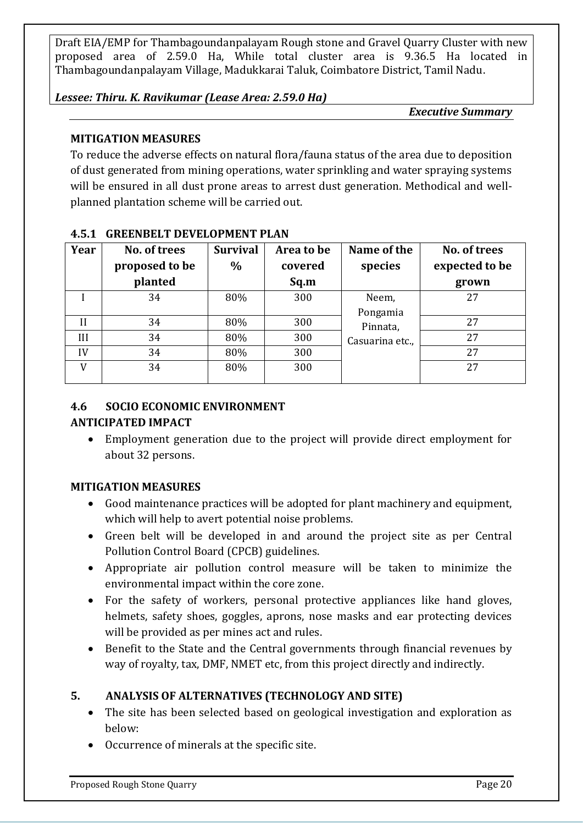#### *Lessee: Thiru. K. Ravikumar (Lease Area: 2.59.0 Ha)*

*Executive Summary*

# **MITIGATION MEASURES**

To reduce the adverse effects on natural flora/fauna status of the area due to deposition of dust generated from mining operations, water sprinkling and water spraying systems will be ensured in all dust prone areas to arrest dust generation. Methodical and wellplanned plantation scheme will be carried out.

| Year         | No. of trees<br>proposed to be<br>planted | <b>Survival</b><br>$\%$ | Area to be<br>covered<br>Sq.m | Name of the<br>species | No. of trees<br>expected to be<br>grown |
|--------------|-------------------------------------------|-------------------------|-------------------------------|------------------------|-----------------------------------------|
|              | 34                                        | 80%                     | 300                           | Neem,                  | 27                                      |
|              |                                           |                         |                               | Pongamia               |                                         |
| $\mathbf{I}$ | 34                                        | 80%                     | 300                           | Pinnata,               | 27                                      |
| Ш            | 34                                        | 80%                     | 300                           | Casuarina etc.,        | 27                                      |
| IV           | 34                                        | 80%                     | 300                           |                        | 27                                      |
| V            | 34                                        | 80%                     | 300                           |                        | 27                                      |
|              |                                           |                         |                               |                        |                                         |

#### **4.5.1 GREENBELT DEVELOPMENT PLAN**

#### **4.6 SOCIO ECONOMIC ENVIRONMENT**

#### **ANTICIPATED IMPACT**

• Employment generation due to the project will provide direct employment for about 32 persons.

#### **MITIGATION MEASURES**

- Good maintenance practices will be adopted for plant machinery and equipment, which will help to avert potential noise problems.
- Green belt will be developed in and around the project site as per Central Pollution Control Board (CPCB) guidelines.
- Appropriate air pollution control measure will be taken to minimize the environmental impact within the core zone.
- For the safety of workers, personal protective appliances like hand gloves, helmets, safety shoes, goggles, aprons, nose masks and ear protecting devices will be provided as per mines act and rules.
- Benefit to the State and the Central governments through financial revenues by way of royalty, tax, DMF, NMET etc, from this project directly and indirectly.

# **5. ANALYSIS OF ALTERNATIVES (TECHNOLOGY AND SITE)**

- The site has been selected based on geological investigation and exploration as below:
- Occurrence of minerals at the specific site.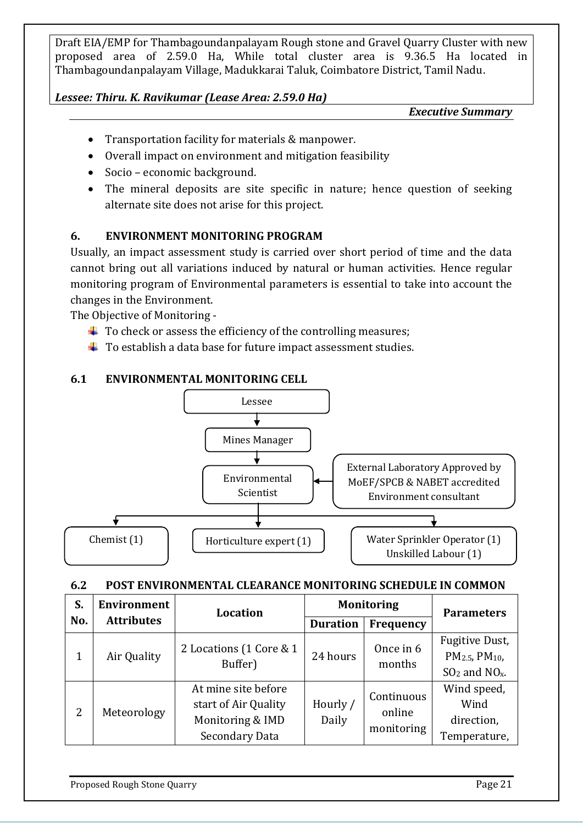#### *Lessee: Thiru. K. Ravikumar (Lease Area: 2.59.0 Ha)*

*Executive Summary*

- Transportation facility for materials & manpower.
- Overall impact on environment and mitigation feasibility
- Socio economic background.
- The mineral deposits are site specific in nature; hence question of seeking alternate site does not arise for this project.

# **6. ENVIRONMENT MONITORING PROGRAM**

Usually, an impact assessment study is carried over short period of time and the data cannot bring out all variations induced by natural or human activities. Hence regular monitoring program of Environmental parameters is essential to take into account the changes in the Environment.

The Objective of Monitoring -

- $\ddot{\bullet}$  To check or assess the efficiency of the controlling measures;
- $\downarrow$  To establish a data base for future impact assessment studies.

#### **6.1 ENVIRONMENTAL MONITORING CELL**



#### **6.2 POST ENVIRONMENTAL CLEARANCE MONITORING SCHEDULE IN COMMON**

| S.  | <b>Environment</b> | Location                                                                                 |                   | <b>Monitoring</b>                  | <b>Parameters</b>                                                                       |  |
|-----|--------------------|------------------------------------------------------------------------------------------|-------------------|------------------------------------|-----------------------------------------------------------------------------------------|--|
| No. | <b>Attributes</b>  |                                                                                          | <b>Duration</b>   | Frequency                          |                                                                                         |  |
|     | Air Quality        | 2 Locations (1 Core & 1<br>Buffer)                                                       | 24 hours          | Once in 6<br>months                | Fugitive Dust,<br>PM <sub>2.5</sub> , PM <sub>10</sub> ,<br>$SO2$ and NO <sub>x</sub> . |  |
| 2   | Meteorology        | At mine site before<br>start of Air Quality<br>Monitoring & IMD<br><b>Secondary Data</b> | Hourly /<br>Daily | Continuous<br>online<br>monitoring | Wind speed,<br>Wind<br>direction,<br>Temperature,                                       |  |

Proposed Rough Stone Quarry **Page 21 Proposed Rough Stone Quarry**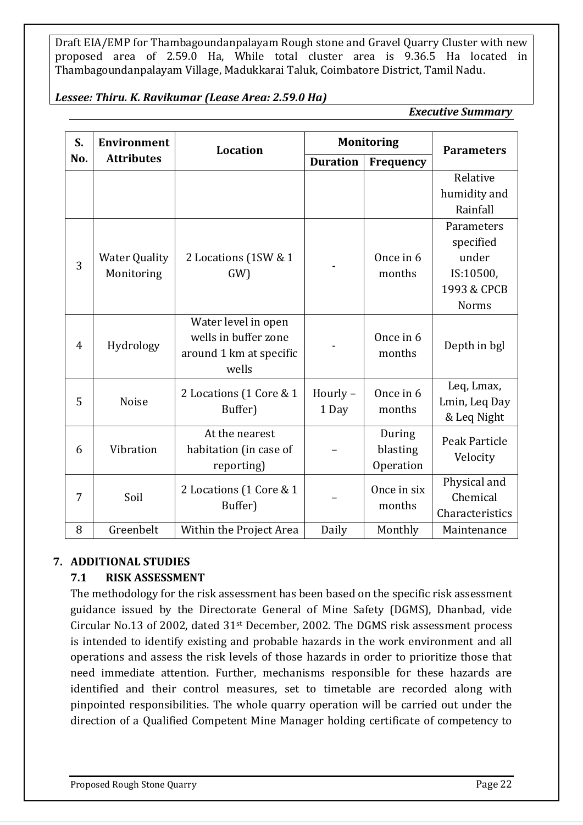#### *Lessee: Thiru. K. Ravikumar (Lease Area: 2.59.0 Ha)*

*Executive Summary*

| S.             | <b>Environment</b>   | <b>Location</b>         |                 | <b>Monitoring</b> | <b>Parameters</b> |  |
|----------------|----------------------|-------------------------|-----------------|-------------------|-------------------|--|
| No.            | <b>Attributes</b>    |                         | <b>Duration</b> | <b>Frequency</b>  |                   |  |
|                |                      |                         |                 |                   | Relative          |  |
|                |                      |                         |                 |                   | humidity and      |  |
|                |                      |                         |                 |                   | Rainfall          |  |
|                |                      |                         |                 |                   | Parameters        |  |
|                |                      |                         |                 |                   | specified         |  |
| 3              | <b>Water Quality</b> | 2 Locations (1SW & 1    |                 | Once in 6         | under             |  |
|                | Monitoring           | $GW$ )                  |                 | months            | IS:10500,         |  |
|                |                      |                         |                 |                   | 1993 & CPCB       |  |
|                |                      |                         |                 |                   | Norms             |  |
|                |                      | Water level in open     |                 |                   |                   |  |
| $\overline{4}$ | Hydrology            | wells in buffer zone    |                 | Once in 6         | Depth in bgl      |  |
|                |                      | around 1 km at specific |                 | months            |                   |  |
|                |                      | wells                   |                 |                   |                   |  |
|                |                      | 2 Locations (1 Core & 1 | Hourly-         | Once in 6         | Leq, Lmax,        |  |
| 5              | <b>Noise</b>         | Buffer)                 |                 | months            | Lmin, Leq Day     |  |
|                |                      |                         | 1 Day           |                   | & Leq Night       |  |
|                |                      | At the nearest          |                 | During            | Peak Particle     |  |
| 6              | Vibration            | habitation (in case of  |                 | blasting          | Velocity          |  |
|                |                      | reporting)              |                 | Operation         |                   |  |
|                |                      | 2 Locations (1 Core & 1 |                 | Once in six       | Physical and      |  |
| 7              |                      | Soil<br>Buffer)         |                 | months            | Chemical          |  |
|                |                      |                         |                 |                   | Characteristics   |  |
| 8              | Greenbelt            | Within the Project Area | Daily           | Monthly           | Maintenance       |  |

# **7. ADDITIONAL STUDIES**

# **7.1 RISK ASSESSMENT**

The methodology for the risk assessment has been based on the specific risk assessment guidance issued by the Directorate General of Mine Safety (DGMS), Dhanbad, vide Circular No.13 of 2002, dated 31st December, 2002. The DGMS risk assessment process is intended to identify existing and probable hazards in the work environment and all operations and assess the risk levels of those hazards in order to prioritize those that need immediate attention. Further, mechanisms responsible for these hazards are identified and their control measures, set to timetable are recorded along with pinpointed responsibilities. The whole quarry operation will be carried out under the direction of a Qualified Competent Mine Manager holding certificate of competency to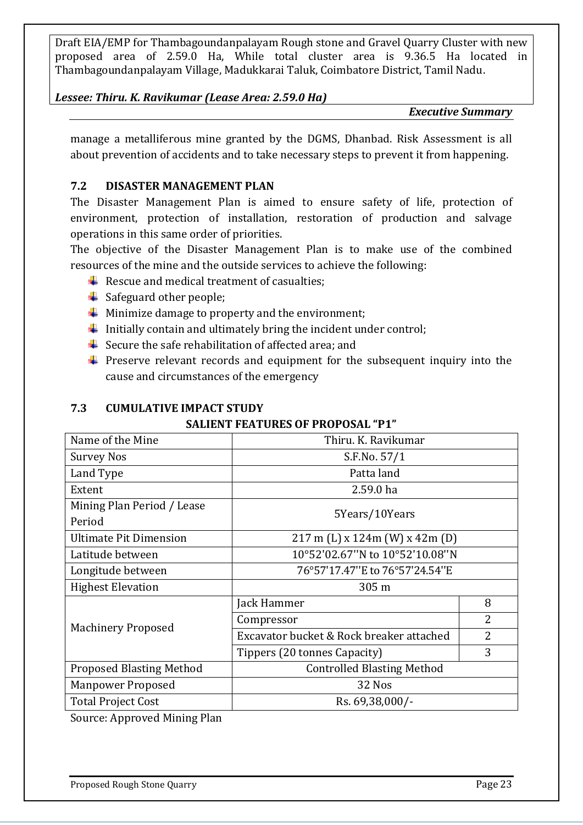#### *Lessee: Thiru. K. Ravikumar (Lease Area: 2.59.0 Ha)*

#### *Executive Summary*

manage a metalliferous mine granted by the DGMS, Dhanbad. Risk Assessment is all about prevention of accidents and to take necessary steps to prevent it from happening.

#### **7.2 DISASTER MANAGEMENT PLAN**

The Disaster Management Plan is aimed to ensure safety of life, protection of environment, protection of installation, restoration of production and salvage operations in this same order of priorities.

The objective of the Disaster Management Plan is to make use of the combined resources of the mine and the outside services to achieve the following:

- $\overline{\phantom{a}}$  Rescue and medical treatment of casualties;
- $\triangleq$  Safeguard other people;
- $\frac{1}{\sqrt{2}}$  Minimize damage to property and the environment;
- Initially contain and ultimately bring the incident under control;
- $\frac{1}{\sqrt{2}}$  Secure the safe rehabilitation of affected area; and
- $\ddot{\phantom{1}}$  Preserve relevant records and equipment for the subsequent inquiry into the cause and circumstances of the emergency

# **7.3 CUMULATIVE IMPACT STUDY**

#### **SALIENT FEATURES OF PROPOSAL "P1"**

| Name of the Mine                | Thiru. K. Ravikumar                      |                |  |  |
|---------------------------------|------------------------------------------|----------------|--|--|
| Survey Nos                      | S.F.No. 57/1                             |                |  |  |
| Land Type                       | Patta land                               |                |  |  |
| Extent                          | 2.59.0 ha                                |                |  |  |
| Mining Plan Period / Lease      | 5Years/10Years                           |                |  |  |
| Period                          |                                          |                |  |  |
| <b>Ultimate Pit Dimension</b>   | $217 \text{ m}$ (L) x 124m (W) x 42m (D) |                |  |  |
| Latitude between                | 10°52'02.67"N to 10°52'10.08"N           |                |  |  |
| Longitude between               | 76°57'17.47"E to 76°57'24.54"E           |                |  |  |
| <b>Highest Elevation</b>        | 305 m                                    |                |  |  |
|                                 | Jack Hammer                              | 8              |  |  |
|                                 | Compressor                               | 2              |  |  |
| <b>Machinery Proposed</b>       | Excavator bucket & Rock breaker attached | $\overline{2}$ |  |  |
|                                 | Tippers (20 tonnes Capacity)             | 3              |  |  |
| <b>Proposed Blasting Method</b> | <b>Controlled Blasting Method</b>        |                |  |  |
| <b>Manpower Proposed</b>        | 32 Nos                                   |                |  |  |
| <b>Total Project Cost</b>       | Rs. 69,38,000/-                          |                |  |  |

Source: Approved Mining Plan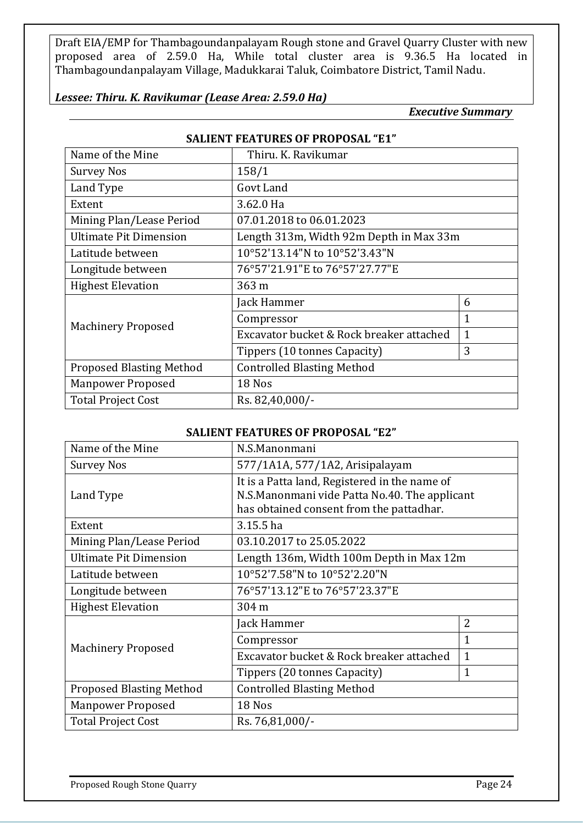#### *Lessee: Thiru. K. Ravikumar (Lease Area: 2.59.0 Ha)*

*Executive Summary*

| JALILIN I LATUREJ VI I RVI VJAL - ET |                                          |              |  |  |  |  |  |
|--------------------------------------|------------------------------------------|--------------|--|--|--|--|--|
| Name of the Mine                     | Thiru. K. Ravikumar                      |              |  |  |  |  |  |
| <b>Survey Nos</b>                    | 158/1                                    |              |  |  |  |  |  |
| Land Type                            | Govt Land                                |              |  |  |  |  |  |
| Extent                               | 3.62.0 Ha                                |              |  |  |  |  |  |
| Mining Plan/Lease Period             | 07.01.2018 to 06.01.2023                 |              |  |  |  |  |  |
| <b>Ultimate Pit Dimension</b>        | Length 313m, Width 92m Depth in Max 33m  |              |  |  |  |  |  |
| Latitude between                     | 10°52'13.14"N to 10°52'3.43"N            |              |  |  |  |  |  |
| Longitude between                    | 76°57'21.91"E to 76°57'27.77"E           |              |  |  |  |  |  |
| <b>Highest Elevation</b>             | 363 m                                    |              |  |  |  |  |  |
|                                      | Jack Hammer                              | 6            |  |  |  |  |  |
| <b>Machinery Proposed</b>            | Compressor                               | $\mathbf 1$  |  |  |  |  |  |
|                                      | Excavator bucket & Rock breaker attached | $\mathbf{1}$ |  |  |  |  |  |
|                                      | Tippers (10 tonnes Capacity)             | 3            |  |  |  |  |  |
| <b>Proposed Blasting Method</b>      | <b>Controlled Blasting Method</b>        |              |  |  |  |  |  |
| <b>Manpower Proposed</b>             | 18 Nos                                   |              |  |  |  |  |  |
| <b>Total Project Cost</b>            | Rs. 82,40,000/-                          |              |  |  |  |  |  |

#### **SALIENT FEATURES OF PROPOSAL "E1"**

#### **SALIENT FEATURES OF PROPOSAL "E2"**

| Name of the Mine                | N.S.Manonmani                                 |                |  |  |  |
|---------------------------------|-----------------------------------------------|----------------|--|--|--|
| <b>Survey Nos</b>               | 577/1A1A, 577/1A2, Arisipalayam               |                |  |  |  |
|                                 | It is a Patta land, Registered in the name of |                |  |  |  |
| Land Type                       | N.S.Manonmani vide Patta No.40. The applicant |                |  |  |  |
|                                 | has obtained consent from the pattadhar.      |                |  |  |  |
| Extent                          | 3.15.5 ha                                     |                |  |  |  |
| Mining Plan/Lease Period        | 03.10.2017 to 25.05.2022                      |                |  |  |  |
| <b>Ultimate Pit Dimension</b>   | Length 136m, Width 100m Depth in Max 12m      |                |  |  |  |
| Latitude between                | 10°52'7.58"N to 10°52'2.20"N                  |                |  |  |  |
| Longitude between               | 76°57'13.12"E to 76°57'23.37"E                |                |  |  |  |
| <b>Highest Elevation</b>        | 304 m                                         |                |  |  |  |
|                                 | Jack Hammer                                   | $\overline{2}$ |  |  |  |
| <b>Machinery Proposed</b>       | Compressor                                    | $\mathbf{1}$   |  |  |  |
|                                 | Excavator bucket & Rock breaker attached      | $\mathbf{1}$   |  |  |  |
|                                 | Tippers (20 tonnes Capacity)                  | $\mathbf{1}$   |  |  |  |
| <b>Proposed Blasting Method</b> | <b>Controlled Blasting Method</b>             |                |  |  |  |
| <b>Manpower Proposed</b>        | 18 Nos                                        |                |  |  |  |
| <b>Total Project Cost</b>       | Rs. 76,81,000/-                               |                |  |  |  |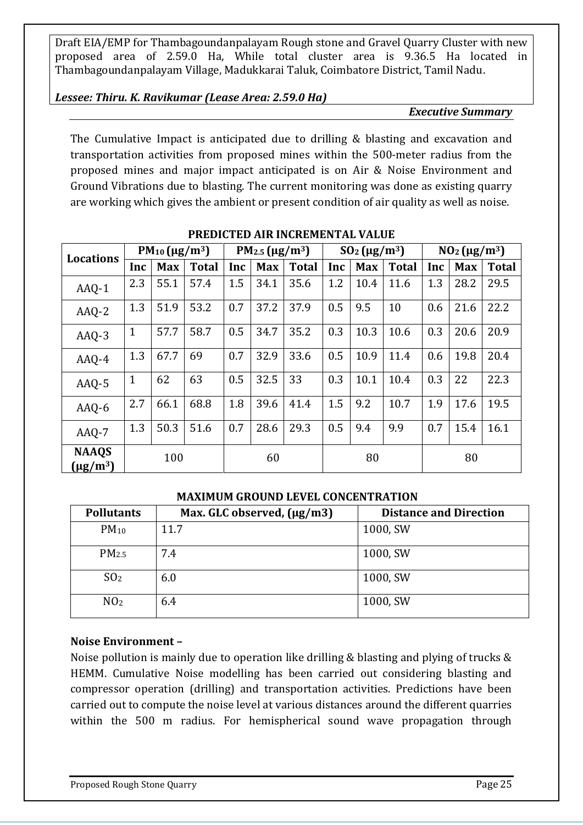#### *Lessee: Thiru. K. Ravikumar (Lease Area: 2.59.0 Ha)*

#### *Executive Summary*

The Cumulative Impact is anticipated due to drilling & blasting and excavation and transportation activities from proposed mines within the 500-meter radius from the proposed mines and major impact anticipated is on Air & Noise Environment and Ground Vibrations due to blasting. The current monitoring was done as existing quarry are working which gives the ambient or present condition of air quality as well as noise.

| <b>Locations</b>              | $PM_{10} (\mu g/m^3)$ |            | PM <sub>2.5</sub> ( $\mu$ g/m <sup>3</sup> ) |     | $SO_2(\mu g/m^3)$ |              | $NO2(\mu g/m3)$ |            |              |     |            |              |
|-------------------------------|-----------------------|------------|----------------------------------------------|-----|-------------------|--------------|-----------------|------------|--------------|-----|------------|--------------|
|                               | Inc                   | <b>Max</b> | <b>Total</b>                                 | Inc | <b>Max</b>        | <b>Total</b> | Inc             | <b>Max</b> | <b>Total</b> | Inc | <b>Max</b> | <b>Total</b> |
| AAQ-1                         | 2.3                   | 55.1       | 57.4                                         | 1.5 | 34.1              | 35.6         | 1.2             | 10.4       | 11.6         | 1.3 | 28.2       | 29.5         |
| AAQ-2                         | 1.3                   | 51.9       | 53.2                                         | 0.7 | 37.2              | 37.9         | 0.5             | 9.5        | 10           | 0.6 | 21.6       | 22.2         |
| AAQ-3                         | $\mathbf 1$           | 57.7       | 58.7                                         | 0.5 | 34.7              | 35.2         | 0.3             | 10.3       | 10.6         | 0.3 | 20.6       | 20.9         |
| AAQ-4                         | 1.3                   | 67.7       | 69                                           | 0.7 | 32.9              | 33.6         | 0.5             | 10.9       | 11.4         | 0.6 | 19.8       | 20.4         |
| AAQ-5                         | $\mathbf{1}$          | 62         | 63                                           | 0.5 | 32.5              | 33           | 0.3             | 10.1       | 10.4         | 0.3 | 22         | 22.3         |
| $AAQ-6$                       | 2.7                   | 66.1       | 68.8                                         | 1.8 | 39.6              | 41.4         | 1.5             | 9.2        | 10.7         | 1.9 | 17.6       | 19.5         |
| AAQ-7                         | 1.3                   | 50.3       | 51.6                                         | 0.7 | 28.6              | 29.3         | 0.5             | 9.4        | 9.9          | 0.7 | 15.4       | 16.1         |
| <b>NAAQS</b><br>$(\mu g/m^3)$ |                       | 100        |                                              |     | 60                |              |                 | 80         |              |     | 80         |              |

#### **PREDICTED AIR INCREMENTAL VALUE**

#### **MAXIMUM GROUND LEVEL CONCENTRATION**

| <b>Pollutants</b> | Max. GLC observed, (µg/m3) | <b>Distance and Direction</b> |
|-------------------|----------------------------|-------------------------------|
| $PM_{10}$         | 11.7                       | 1000, SW                      |
| PM <sub>2.5</sub> | 7.4                        | 1000, SW                      |
| SO <sub>2</sub>   | 6.0                        | 1000, SW                      |
| NO <sub>2</sub>   | 6.4                        | 1000, SW                      |

#### **Noise Environment –**

Noise pollution is mainly due to operation like drilling & blasting and plying of trucks & HEMM. Cumulative Noise modelling has been carried out considering blasting and compressor operation (drilling) and transportation activities. Predictions have been carried out to compute the noise level at various distances around the different quarries within the 500 m radius. For hemispherical sound wave propagation through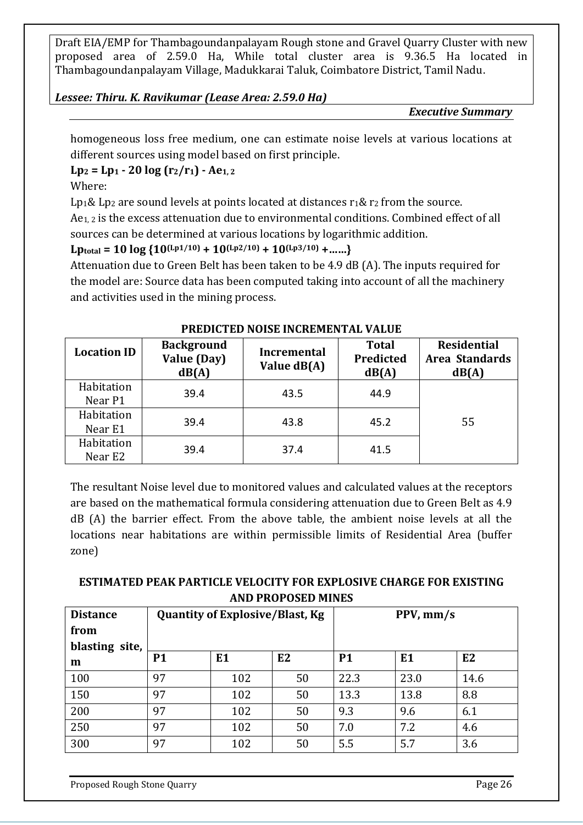#### *Lessee: Thiru. K. Ravikumar (Lease Area: 2.59.0 Ha)*

*Executive Summary*

homogeneous loss free medium, one can estimate noise levels at various locations at different sources using model based on first principle.

 $Lp_2 = Lp_1 - 20 \log (r_2/r_1) - Ae_{1,2}$ 

Where:

Lp<sub>1</sub>& Lp<sub>2</sub> are sound levels at points located at distances  $r_1$ &  $r_2$  from the source.

Ae1, 2 is the excess attenuation due to environmental conditions. Combined effect of all sources can be determined at various locations by logarithmic addition.

 $L$ **ptotal** = 10  $\log$  {10<sup>(Lp1/10)</sup> + 10<sup>(Lp2/10)</sup> + 10<sup>(Lp3/10)</sup> + ……}

Attenuation due to Green Belt has been taken to be 4.9 dB (A). The inputs required for the model are: Source data has been computed taking into account of all the machinery and activities used in the mining process.

| <b>Location ID</b>    | <b>Background</b><br>Value (Day)<br>dB(A) | <b>Incremental</b><br>Value dB(A) | <b>Total</b><br>Predicted<br>dB(A) | <b>Residential</b><br>Area Standards<br>dB(A) |
|-----------------------|-------------------------------------------|-----------------------------------|------------------------------------|-----------------------------------------------|
| Habitation<br>Near P1 | 39.4                                      | 43.5                              | 44.9                               |                                               |
| Habitation<br>Near E1 | 39.4                                      | 43.8                              | 45.2                               | 55                                            |
| Habitation<br>Near E2 | 39.4                                      | 37.4                              | 41.5                               |                                               |

#### **PREDICTED NOISE INCREMENTAL VALUE**

The resultant Noise level due to monitored values and calculated values at the receptors are based on the mathematical formula considering attenuation due to Green Belt as 4.9 dB (A) the barrier effect. From the above table, the ambient noise levels at all the locations near habitations are within permissible limits of Residential Area (buffer zone)

# **ESTIMATED PEAK PARTICLE VELOCITY FOR EXPLOSIVE CHARGE FOR EXISTING AND PROPOSED MINES**

| <b>Distance</b>     | <b>Quantity of Explosive/Blast, Kg</b> |                |    | $PPV, \, \text{mm/s}$ |                |      |
|---------------------|----------------------------------------|----------------|----|-----------------------|----------------|------|
| from                |                                        |                |    |                       |                |      |
| blasting site,<br>m | <b>P1</b>                              | E <sub>1</sub> | E2 | <b>P1</b>             | E <sub>1</sub> | E2   |
| 100                 | 97                                     | 102            | 50 | 22.3                  | 23.0           | 14.6 |
| 150                 | 97                                     | 102            | 50 | 13.3                  | 13.8           | 8.8  |
| 200                 | 97                                     | 102            | 50 | 9.3                   | 9.6            | 6.1  |
| 250                 | 97                                     | 102            | 50 | 7.0                   | 7.2            | 4.6  |
| 300                 | 97                                     | 102            | 50 | 5.5                   | 5.7            | 3.6  |

Proposed Rough Stone Quarry Page 26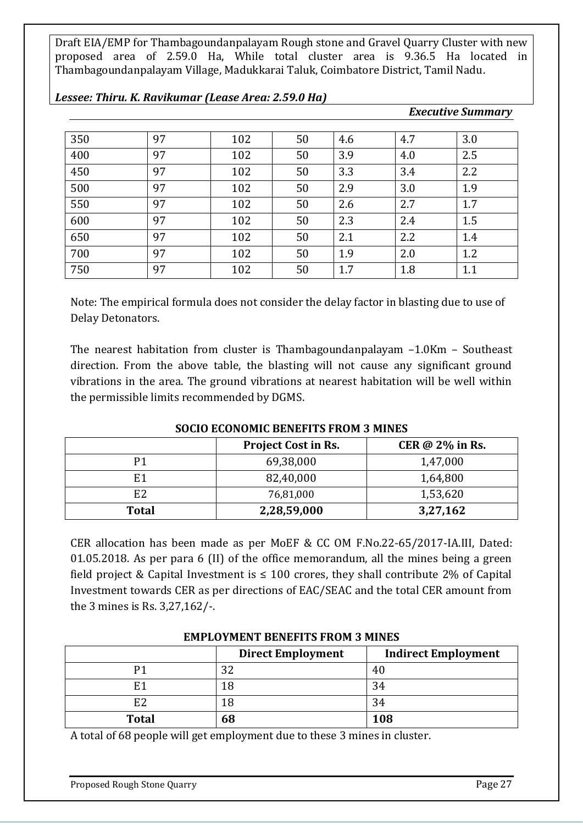| 350 | 97 | 102 | 50 | 4.6 | 4.7 | 3.0 |
|-----|----|-----|----|-----|-----|-----|
| 400 | 97 | 102 | 50 | 3.9 | 4.0 | 2.5 |
| 450 | 97 | 102 | 50 | 3.3 | 3.4 | 2.2 |
| 500 | 97 | 102 | 50 | 2.9 | 3.0 | 1.9 |
| 550 | 97 | 102 | 50 | 2.6 | 2.7 | 1.7 |
| 600 | 97 | 102 | 50 | 2.3 | 2.4 | 1.5 |
| 650 | 97 | 102 | 50 | 2.1 | 2.2 | 1.4 |
| 700 | 97 | 102 | 50 | 1.9 | 2.0 | 1.2 |
| 750 | 97 | 102 | 50 | 1.7 | 1.8 | 1.1 |

*Lessee: Thiru. K. Ravikumar (Lease Area: 2.59.0 Ha)*

#### Note: The empirical formula does not consider the delay factor in blasting due to use of Delay Detonators.

The nearest habitation from cluster is Thambagoundanpalayam –1.0Km – Southeast direction. From the above table, the blasting will not cause any significant ground vibrations in the area. The ground vibrations at nearest habitation will be well within the permissible limits recommended by DGMS.

#### **SOCIO ECONOMIC BENEFITS FROM 3 MINES**

|                | <b>Project Cost in Rs.</b> | CER $\omega$ 2% in Rs. |
|----------------|----------------------------|------------------------|
| P1             | 69,38,000                  | 1,47,000               |
| E1             | 82,40,000                  | 1,64,800               |
| E <sub>2</sub> | 76,81,000                  | 1,53,620               |
| <b>Total</b>   | 2,28,59,000                | 3,27,162               |

CER allocation has been made as per MoEF & CC OM F.No.22-65/2017-IA.III, Dated: 01.05.2018. As per para 6 (II) of the office memorandum, all the mines being a green field project & Capital Investment is  $\leq 100$  crores, they shall contribute 2% of Capital Investment towards CER as per directions of EAC/SEAC and the total CER amount from the 3 mines is Rs. 3,27,162/-.

|              | <b>Direct Employment</b> | <b>Indirect Employment</b> |
|--------------|--------------------------|----------------------------|
| D1           | 32                       | 40                         |
| F 1          | 18                       | 34                         |
| E2           | 18                       | 34                         |
| <b>Total</b> | 68                       | 108                        |

#### **EMPLOYMENT BENEFITS FROM 3 MINES**

A total of 68 people will get employment due to these 3 mines in cluster.

*Executive Summary*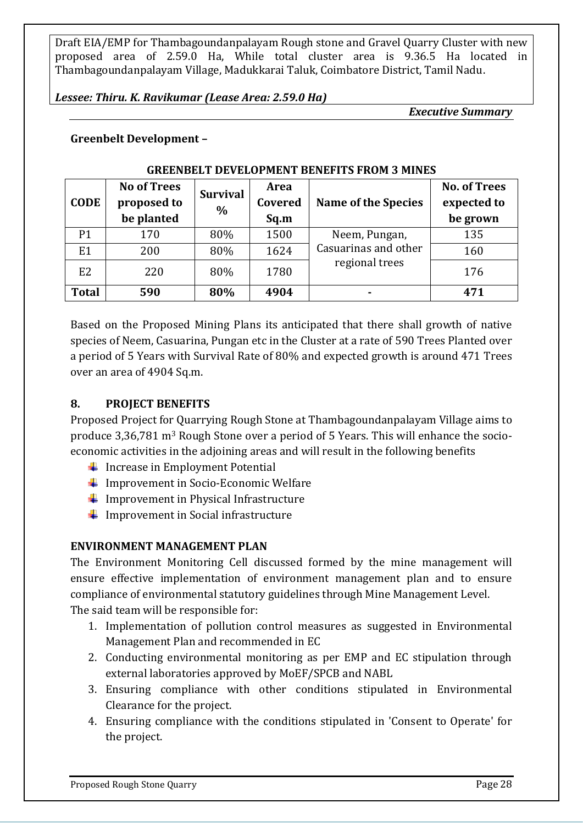#### *Lessee: Thiru. K. Ravikumar (Lease Area: 2.59.0 Ha)*

*Executive Summary*

#### **Greenbelt Development –**

| <b>CODE</b>    | <b>No of Trees</b><br>proposed to<br>be planted | <b>Survival</b><br>$\frac{0}{0}$ | Area<br>Covered<br>Sq.m | <b>Name of the Species</b> | <b>No. of Trees</b><br>expected to<br>be grown |
|----------------|-------------------------------------------------|----------------------------------|-------------------------|----------------------------|------------------------------------------------|
| P <sub>1</sub> | 170                                             | 80%                              | 1500                    | Neem, Pungan,              | 135                                            |
| E1             | 200                                             | 80%                              | 1624                    | Casuarinas and other       | 160                                            |
| E <sub>2</sub> | 220                                             | 80%                              | 1780                    | regional trees             | 176                                            |
| <b>Total</b>   | 590                                             | 80%                              | 4904                    | ۰                          | 471                                            |

#### **GREENBELT DEVELOPMENT BENEFITS FROM 3 MINES**

Based on the Proposed Mining Plans its anticipated that there shall growth of native species of Neem, Casuarina, Pungan etc in the Cluster at a rate of 590 Trees Planted over a period of 5 Years with Survival Rate of 80% and expected growth is around 471 Trees over an area of 4904 Sq.m.

#### **8. PROJECT BENEFITS**

Proposed Project for Quarrying Rough Stone at Thambagoundanpalayam Village aims to produce 3,36,781 m3 Rough Stone over a period of 5 Years. This will enhance the socioeconomic activities in the adjoining areas and will result in the following benefits

- $\ddot{\bullet}$  Increase in Employment Potential
- $\downarrow$  Improvement in Socio-Economic Welfare
- $\downarrow$  Improvement in Physical Infrastructure
- $\downarrow$  Improvement in Social infrastructure

#### **ENVIRONMENT MANAGEMENT PLAN**

The Environment Monitoring Cell discussed formed by the mine management will ensure effective implementation of environment management plan and to ensure compliance of environmental statutory guidelines through Mine Management Level. The said team will be responsible for:

- 1. Implementation of pollution control measures as suggested in Environmental Management Plan and recommended in EC
- 2. Conducting environmental monitoring as per EMP and EC stipulation through external laboratories approved by MoEF/SPCB and NABL
- 3. Ensuring compliance with other conditions stipulated in Environmental Clearance for the project.
- 4. Ensuring compliance with the conditions stipulated in 'Consent to Operate' for the project.